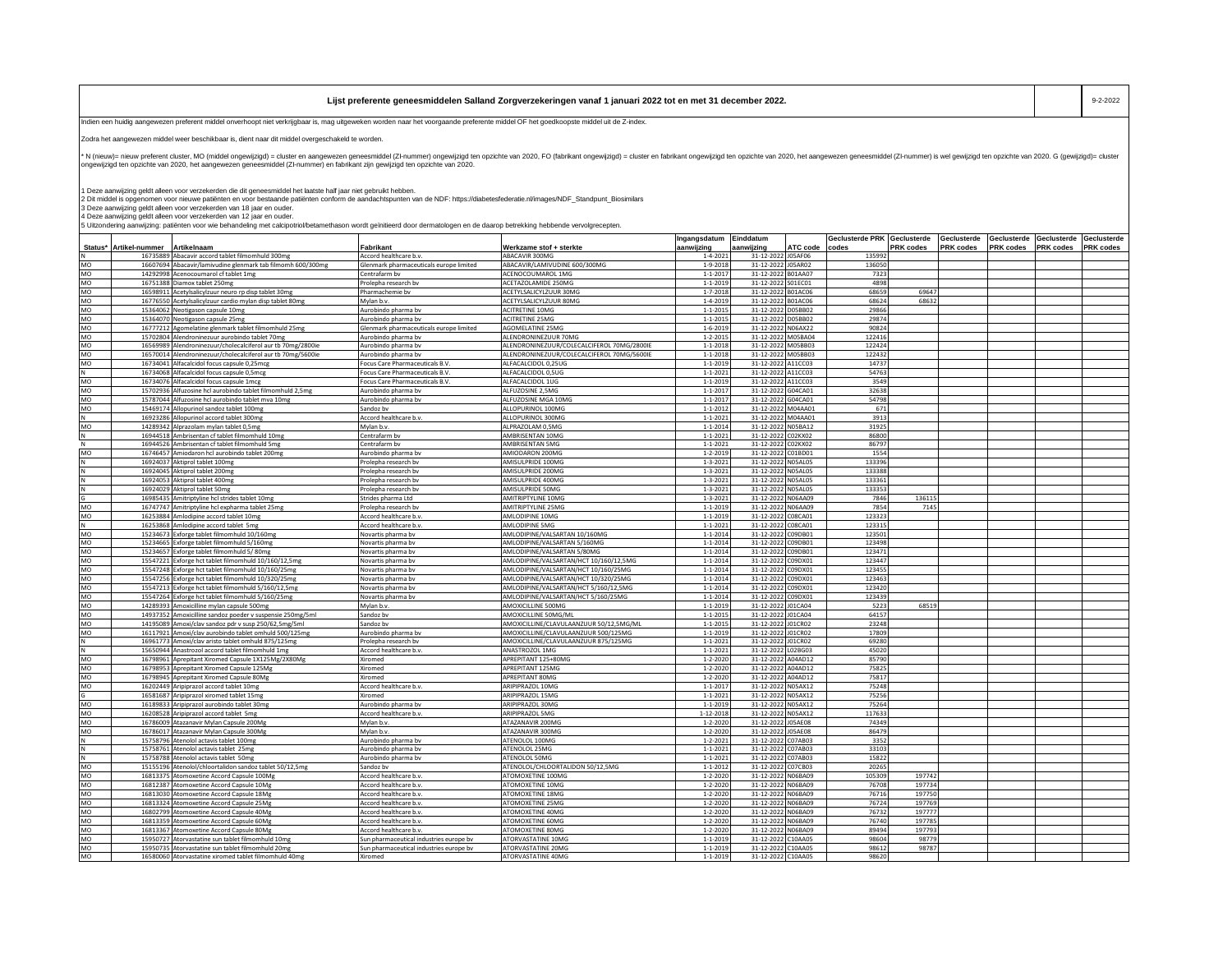| list preferente geneesmiddelen Salland Zorgverzekeringen vanaf 1 januari 2022 tot en met 31 december 2022. | 9-2-2022 |
|------------------------------------------------------------------------------------------------------------|----------|
|                                                                                                            |          |

Indien een huidig aangewezen preferent middel onverhoopt niet verkrijgbaar is, mag uitgeweken worden naar het voorgaande preferente middel OF het goedkoopste middel uit de Z-index.

Zodra het aangewezen middel weer beschikbaar is, dient naar dit middel overgeschakeld te worden.

-<br>N (nieuw)= nieuw preferent cluster, MO (middel ongewizigd) = cluster en aangewezen geneesmiddel (ZI-nummer) ongewizigd ten opzichte van 2020, FO (fabrikant ongewijzigd) = cluster en fabrikant ongewijzigd en opzichte van ongewijzigd ten opzichte van 2020, het aangewezen geneesmiddel (ZI-nummer) en fabrikant zijn gewijzigd ten opzichte van 2020.

1 Deze aanwijzing geldt alleen voor verzekerden die dit geneesmiddel het laatste half jaar niet gebruikt hebben.<br>2 Dit middel is opgenomen voor nieuwe patiëntene moor bestande patiënen conform de aandachtspunten van de ND

4 Deze aanwijzing geldt alleen voor verzekerden van 12 jaar en ouder.<br>5 Uitzondering aanwijzing: patiënten voor wie behandeling met calcipotriol/betamethason wordt geïnitieerd door dermatologen en de daarop betrekking hebb

|           |                                                                                                   |                                         |                                            | Ingangsdatum    | Einddatum                |                    | Geclusterde PRK Geclusterde |                  | Geclusterde      | Geclusterde      | Geclusterde      | Geclusterde      |
|-----------|---------------------------------------------------------------------------------------------------|-----------------------------------------|--------------------------------------------|-----------------|--------------------------|--------------------|-----------------------------|------------------|------------------|------------------|------------------|------------------|
|           | Status* Artikel-nummer<br><b>Artikelnaam</b>                                                      | Fabrikant                               | Werkzame stof + sterkte                    | aanwijzing      | aanwijzing               | ATC code           | codes                       | <b>PRK</b> codes | <b>PRK</b> codes | <b>PRK</b> codes | <b>PRK</b> codes | <b>PRK</b> codes |
|           | 16735889 Abacavir accord tablet filmomhuld 300mg                                                  | Accord healthcare b.v.                  | ABACAVIR 300MG                             | $1 - 4 - 2021$  |                          | 31-12-2022 J05AF06 | 13599                       |                  |                  |                  |                  |                  |
| MO        | 16607694 Abacavir/lamivudine glenmark tab filmomh 600/300mg                                       | Glenmark pharmaceuticals europe limited | ABACAVIR/LAMIVUDINE 600/300MG              | $1 - 9 - 2018$  |                          | 31-12-2022 J05AR02 | 136050                      |                  |                  |                  |                  |                  |
| MO        | 14292998 Acenocoumarol cf tablet 1mg                                                              | Centrafarm by                           | ACENOCOUMAROL 1MG                          | $1 - 1 - 2017$  | 31-12-2022               | B01AA07            | 7323                        |                  |                  |                  |                  |                  |
| <b>MO</b> | 16751388 Diamox tablet 250mg                                                                      | Prolepha research by                    | ACETAZOLAMIDE 250MG                        | $1 - 1 - 2019$  | 31-12-2022               | S01EC01            | 4898                        |                  |                  |                  |                  |                  |
| MO        | 16598911<br>Acetylsalicylzuur neuro rp disp tablet 30mg                                           | Pharmachemie bv                         | ACETYLSALICYLZUUR 30MG                     | $1 - 7 - 2018$  | 31-12-2022               | <b>B01AC06</b>     | 68659                       | 69647            |                  |                  |                  |                  |
| MO        | 16776550<br>Acetylsalicylzuur cardio mylan disp tablet 80mg                                       | Mylan b.v.                              | <b>ACETYLSALICYLZUUR 80MG</b>              | $1 - 4 - 2019$  | 31-12-2022               | B01AC06            | 68624                       | 68632            |                  |                  |                  |                  |
| MO        | 15364062<br>Neotigason capsule 10mg                                                               | Aurobindo pharma bv                     | <b>ACITRETINE 10MG</b>                     | $1 - 1 - 2015$  | 31-12-2022               | D05BB02            | 29866                       |                  |                  |                  |                  |                  |
| MO        | 15364070 Neotigason capsule 25mg                                                                  | Aurobindo pharma bv                     | <b>ACITRETINE 25MG</b>                     | $1 - 1 - 2015$  | 31-12-2022               | D05BB02            | 29874                       |                  |                  |                  |                  |                  |
| MO        | 16777212<br>Agomelatine glenmark tablet filmomhuld 25mg                                           | Glenmark pharmaceuticals europe limited | AGOMELATINE 25MG                           | $1 - 6 - 2019$  | 31-12-2022               | N06AX22            | 90824                       |                  |                  |                  |                  |                  |
| MO        | 15702804 Alendroninezuur aurobindo tablet 70mg                                                    | Aurobindo pharma bv                     | ALENDRONINEZUUR 70MG                       | $1 - 2 - 2015$  | 31-12-2022               | M05BA04            | 122416                      |                  |                  |                  |                  |                  |
| MO        | 16569989<br>Alendroninezuur/cholecalciferol aur tb 70mg/2800ie                                    | Aurobindo pharma bv                     | ALENDRONINEZUUR/COLECALCIFEROL 70MG/2800IE | $1 - 1 - 2018$  |                          | 31-12-2022 M05BB03 | 122424                      |                  |                  |                  |                  |                  |
| MO        | 16570014<br>Alendroninezuur/cholecalciferol aur tb 70mg/5600ie                                    | Aurobindo pharma bv                     | ALENDRONINEZUUR/COLECALCIFEROL 70MG/5600IE | $1 - 1 - 2018$  |                          | 31-12-2022 M05BB03 | 122432                      |                  |                  |                  |                  |                  |
| MO        | 16734041 Alfacalcidol focus capsule 0,25mcg                                                       | Focus Care Pharmaceuticals B.V.         | ALFACALCIDOL 0,25UG                        | $1 - 1 - 2019$  | 31-12-2022               | A11CC03            | 14737                       |                  |                  |                  |                  |                  |
| N.        | 16734068 Alfacalcidol focus capsule 0.5mcg                                                        | Focus Care Pharmaceuticals B.V.         | ALFACALCIDOL 0.5UG                         | $1 - 1 - 2021$  | 31-12-2022               | A11CC03            | 54763                       |                  |                  |                  |                  |                  |
| MO        | 16734076 Alfacalcidol focus capsule 1mcg                                                          | Focus Care Pharmaceuticals B.V.         | ALFACALCIDOL 1UG                           | $1 - 1 - 2019$  |                          | 31-12-2022 A11CC03 | 3549                        |                  |                  |                  |                  |                  |
| MO        | 15702936<br>Alfuzosine hcl aurobindo tablet filmomhuld 2,5mg                                      | Aurobindo pharma bv                     | ALFUZOSINE 2,5MG                           | $1 - 1 - 2017$  | 31-12-2022               | G04CA01            | 32638                       |                  |                  |                  |                  |                  |
| MO        | 15787044<br>Alfuzosine hcl aurobindo tablet mva 10mg                                              | Aurobindo pharma by                     | ALFUZOSINE MGA 10MG                        | $1 - 1 - 2017$  | 31-12-2022               | G04CA01            | 54798                       |                  |                  |                  |                  |                  |
| MO        | 15469174 Allopurinol sandoz tablet 100mg                                                          | Sandoz by                               | ALLOPURINOL 100MG                          | $1 - 1 - 2012$  | 31-12-2022               | M04AA01            | 671                         |                  |                  |                  |                  |                  |
| N         | 16923286<br>Allopurinol accord tablet 300mg                                                       | Accord healthcare b.v.                  | ALLOPURINOL 300MG                          | $1 - 1 - 2021$  | 31-12-2022               | M04AA01            | 3913                        |                  |                  |                  |                  |                  |
| MO        | 14289342<br>Alprazolam mylan tablet 0.5mg                                                         | Mylan h.v.                              | <b>ALPRAZOLAM 0.5MG</b>                    | $1 - 1 - 2014$  | 31-12-2022               | N05BA12            | 31925                       |                  |                  |                  |                  |                  |
| N         | 16944518<br>Ambrisentan cf tablet filmomhuld 10mg                                                 | Centrafarm bv                           | AMBRISENTAN 10MG                           | $1 - 1 - 2021$  | 31-12-2022               | C02KX02            | 86800                       |                  |                  |                  |                  |                  |
|           |                                                                                                   | Centrafarm bv                           | AMBRISENTAN 5MG                            | $1 - 1 - 2021$  |                          |                    | 86797                       |                  |                  |                  |                  |                  |
| MO        | 16944526<br>Ambrisentan cf tablet filmomhuld 5mg<br>16746457 Amiodaron hcl aurobindo tablet 200mg |                                         | AMIODARON 200MG                            | $1 - 2 - 2019$  | 31-12-2022<br>31-12-2022 | C02KX02<br>C01BD01 | 1554                        |                  |                  |                  |                  |                  |
|           | 16924037 Aktiorol tablet 100mg                                                                    | Aurobindo pharma bv                     |                                            |                 | 31-12-2022               | <b>NO5AL05</b>     | 133396                      |                  |                  |                  |                  |                  |
|           |                                                                                                   | Prolepha research bv                    | AMISULPRIDE 100MG                          | $1 - 3 - 2021$  |                          |                    | 133388                      |                  |                  |                  |                  |                  |
|           | 16924045<br>Aktiprol tablet 200mg                                                                 | Prolepha research bv                    | AMISULPRIDE 200MG                          | $1 - 3 - 2021$  | 31-12-2022               | <b>N05AL05</b>     |                             |                  |                  |                  |                  |                  |
|           | 16924053<br>Aktiprol tablet 400mg                                                                 | Prolepha research by                    | AMISULPRIDE 400MG                          | $1 - 3 - 2021$  | 31-12-2022               | <b>N05AL05</b>     | 133361                      |                  |                  |                  |                  |                  |
|           | 16924029<br>Aktiprol tablet 50mg                                                                  | Prolepha research bv                    | AMISULPRIDE 50MG                           | $1 - 3 - 2021$  | 31-12-2022               | <b>NO5AL05</b>     | 13335                       |                  |                  |                  |                  |                  |
|           | 16985435<br>Amitriptyline hcl strides tablet 10mg                                                 | Strides pharma Ltd                      | AMITRIPTYLINE 10MG                         | $1 - 3 - 2021$  | 31-12-2022               | N06AA09            | 7846                        | 136115           |                  |                  |                  |                  |
| MO        | 16747747 Amitriptyline hcl expharma tablet 25mg                                                   | Prolepha research bv                    | AMITRIPTYLINE 25MG                         | $1 - 1 - 2019$  | 31-12-2022               | N06AA09            | 7854                        | 7145             |                  |                  |                  |                  |
| MO        | 16253884<br>Amlodipine accord tablet 10mg                                                         | Accord healthcare b.y                   | AMLODIPINE 10MG                            | $1 - 1 - 2019$  | 31-12-2022               | C08CA01            | 123323                      |                  |                  |                  |                  |                  |
| N         | 16253868<br>Amlodipine accord tablet 5mg                                                          | Accord healthcare b.v                   | AMLODIPINE 5MG                             | $1 - 1 - 2021$  | 31-12-2022               | C08CA01            | 123315                      |                  |                  |                  |                  |                  |
| MO        | 15234673<br>Exforge tablet filmomhuld 10/160mg                                                    | Novartis pharma bv                      | AMLODIPINE/VALSARTAN 10/160MG              | $1 - 1 - 2014$  | 31-12-2022               | 09DB01             | 123501                      |                  |                  |                  |                  |                  |
| MO        | 15234665<br>Exforge tablet filmomhuld 5/160mg                                                     | Novartis pharma bv                      | AMLODIPINE/VALSARTAN 5/160MG               | $1 - 1 - 2014$  | 31-12-2022               | C09DB01            | 123498                      |                  |                  |                  |                  |                  |
| MO        | Exforge tablet filmomhuld 5/80mg<br>15234653                                                      | Novartis pharma bv                      | AMLODIPINE/VALSARTAN 5/80MG                | $1 - 1 - 2014$  | 31-12-2022               | C09DB01            | 123471                      |                  |                  |                  |                  |                  |
| MO        | Exforge hct tablet filmomhuld 10/160/12,5mg<br>15547221                                           | Novartis pharma bv                      | AMLODIPINE/VALSARTAN/HCT 10/160/12,5MG     | $1 - 1 - 2014$  | 31-12-2022               | 09DX01             | 123447                      |                  |                  |                  |                  |                  |
| MO        | 15547248 Exforge hct tablet filmomhuld 10/160/25mg                                                | Novartis pharma bv                      | AMLODIPINE/VALSARTAN/HCT 10/160/25MG       | $1 - 1 - 2014$  | 31-12-2022               | C09DX01            | 123455                      |                  |                  |                  |                  |                  |
| MO        | 15547256 Exforge hct tablet filmomhuld 10/320/25mg                                                | Novartis pharma bv                      | AMLODIPINE/VALSARTAN/HCT 10/320/25MG       | $1 - 1 - 2014$  | 31-12-2022               | C09DX01            | 123463                      |                  |                  |                  |                  |                  |
| MO        | 15547213 Exforge hct tablet filmomhuld 5/160/12,5mg                                               | Novartis pharma by                      | AMLODIPINE/VALSARTAN/HCT 5/160/12,5MG      | $1 - 1 - 2014$  | 31-12-2022               | C09DX01            | 123420                      |                  |                  |                  |                  |                  |
| MO        | 15547264 Exforge hct tablet filmomhuld 5/160/25mg                                                 | Novartis pharma bv                      | AMLODIPINE/VALSARTAN/HCT 5/160/25MG        | $1 - 1 - 2014$  | 31-12-2022               | C09DX01            | 123439                      |                  |                  |                  |                  |                  |
| MO        | 14289393 Amoxicilline mylan capsule 500mg                                                         | Mylan b.v.                              | AMOXICILLINE 500MG                         | $1 - 1 - 2019$  |                          | 31-12-2022 J01CA04 | 5223                        | 68519            |                  |                  |                  |                  |
| <b>MO</b> | 14937352<br>Amoxicilline sandoz poeder v suspensie 250mg/5ml                                      | Sandoz by                               | AMOXICILLINE 50MG/ML                       | $1 - 1 - 2015$  | 31-12-2022               | J01CA04            | 64157                       |                  |                  |                  |                  |                  |
| MO        | 14195089<br>Amoxi/clav sandoz pdr v susp 250/62,5mg/5ml                                           | Sandoz bv                               | AMOXICILLINE/CLAVULAANZUUR 50/12,5MG/ML    | $1 - 1 - 2015$  | 31-12-2022               | J01CR02            | 23248                       |                  |                  |                  |                  |                  |
| MO        | 16117921<br>Amoxi/clav aurobindo tablet omhuld 500/125mg                                          | Aurobindo pharma bv                     | AMOXICILLINE/CLAVULAANZUUR 500/125MG       | $1 - 1 - 2019$  | 31-12-2022               | J01CR02            | 17809                       |                  |                  |                  |                  |                  |
| N         | Amoxi/clav aristo tablet omhuld 875/125mg<br>1696177                                              | Prolepha research bv                    | AMOXICILLINE/CLAVULAANZUUR 875/125MG       | $1 - 1 - 2021$  | 31-12-2022               | J01CR02            | 69280                       |                  |                  |                  |                  |                  |
| N         | 15650944 Anastrozol accord tablet filmomhuld 1mg                                                  | Accord healthcare b.v                   | ANASTROZOL 1MG                             | $1 - 1 - 2021$  | 31-12-2022               | 02BG03             | 45020                       |                  |                  |                  |                  |                  |
| MO        | 16798961<br>Aprepitant Xiromed Capsule 1X125Mg/2X80Mg                                             | Xiromed                                 | APREPITANT 125+80MG                        | $1 - 2 - 2020$  | 31-12-2022               | A04AD12            | 85790                       |                  |                  |                  |                  |                  |
| MO        | 16798953<br>Aprepitant Xiromed Capsule 125Mg                                                      | Xiromed                                 | APREPITANT 125MG                           | $1 - 2 - 2020$  | 31-12-2022               | 404AD12            | 75825                       |                  |                  |                  |                  |                  |
| MO        | 16798945<br>Aprepitant Xiromed Capsule 80Mg                                                       | Kiromed                                 | APREPITANT 80MG                            | $1 - 2 - 2020$  | 31-12-2022               | A04AD12            | 75817                       |                  |                  |                  |                  |                  |
| MO        | 16202449 Aripiprazol accord tablet 10mg                                                           | Accord healthcare b.v.                  | ARIPIPRAZOL 10MG                           | $1 - 1 - 2017$  | 31-12-2022               | <b>N05AX12</b>     | 75248                       |                  |                  |                  |                  |                  |
|           | 16581687<br>Aripiprazol xiromed tablet 15mg                                                       | Xiromed                                 | ARIPIPRAZOL 15MG                           | $1 - 1 - 2021$  | 31-12-2022               | <b>N05AX12</b>     | 75256                       |                  |                  |                  |                  |                  |
| <b>MO</b> | 16189833 Aripiprazol aurobindo tablet 30mg                                                        | Aurobindo pharma bv                     | ARIPIPRAZOL 30MG                           | $1 - 1 - 2019$  | 31-12-2022               | <b>N05AX12</b>     | 75264                       |                  |                  |                  |                  |                  |
| MO        | 16208528<br>Aripiprazol accord tablet 5mg                                                         | Accord healthcare b.v.                  | ARIPIPRAZOL 5MG                            | $1 - 12 - 2018$ | 31-12-2022               | <b>N05AX12</b>     | 117633                      |                  |                  |                  |                  |                  |
| MO        | 16786009<br>Atazanavir Mylan Capsule 200Mg                                                        | Mylan b.v.                              | ATAZANAVIR 200MG                           | $1 - 2 - 2020$  | 31-12-2022               | <b>JO5AE08</b>     | 74349                       |                  |                  |                  |                  |                  |
| MO        | 16786017 Atazanavir Mylan Capsule 300Mg                                                           | Mylan b.v.                              | ATAZANAVIR 300MG                           | $1 - 2 - 2020$  | 31-12-2022               | 05AE08             | 86479                       |                  |                  |                  |                  |                  |
|           | 15758796<br>Atenolol actavis tablet 100mg                                                         | Aurobindo pharma by                     | ATENOLOL 100MG                             | $1 - 2 - 2021$  | 31-12-2022               | C07AB03            | 3352                        |                  |                  |                  |                  |                  |
| N         | 15758761<br>Atenolol actavis tablet 25mg                                                          | Aurobindo pharma bv                     | ATENOLOL 25MG                              | $1 - 1 - 2021$  | 31-12-2022               | C07AB03            | 33103                       |                  |                  |                  |                  |                  |
|           | 15758788<br>Atenolol actavis tablet 50mg                                                          | Aurobindo pharma bv                     | ATENOLOL 50MG                              | $1 - 1 - 2021$  | 31-12-2022               | C07AB03            | 15822                       |                  |                  |                  |                  |                  |
| MO        | 15155196<br>Atenolol/chloortalidon sandoz tablet 50/12,5mg                                        | Sandoz hv                               | ATENOLOL/CHLOORTALIDON 50/12,5MG           | $1 - 1 - 2012$  | 31-12-2022               | C07CB03            | 20265                       |                  |                  |                  |                  |                  |
| MO        | 16813375<br>Atomoxetine Accord Capsule 100Mg                                                      | Accord healthcare b.v.                  | ATOMOXETINE 100MG                          | $1 - 2 - 2020$  | 31-12-2022               | <b>N06BA09</b>     | 105309                      | 197742           |                  |                  |                  |                  |
| MO        | 16812387<br>Atomoxetine Accord Capsule 10Mg                                                       | Accord healthcare b.v.                  | ATOMOXETINE 10MG                           | $1 - 2 - 2020$  | 31-12-2022               | <b>N06BA09</b>     | 76708                       | 197734           |                  |                  |                  |                  |
| MO        | 16813030<br>Atomoxetine Accord Capsule 18Mg                                                       | Accord healthcare b.v                   | <b>ATOMOXETINE 18MG</b>                    | $1 - 2 - 2020$  | 31-12-2022               | <b>NO6BA09</b>     | 76716                       | 197750           |                  |                  |                  |                  |
| MO        | 16813324<br>Atomoxetine Accord Capsule 25Mg                                                       | Accord healthcare b.v.                  | ATOMOXETINE 25MG                           | $1 - 2 - 2020$  | 31-12-2022               | N06BA09            | 76724                       | 197769           |                  |                  |                  |                  |
| MO        | 16802799<br>Atomoxetine Accord Capsule 40Mg                                                       | Accord healthcare b.v.                  | <b>ATOMOXETINE 40MG</b>                    | $1 - 2 - 2020$  | 31-12-2022               | N06BA09            | 76732                       | 197777           |                  |                  |                  |                  |
| MO        | 16813359<br>Atomoxetine Accord Capsule 60Mg                                                       | Accord healthcare b.v.                  | <b>ATOMOXETINE 60MG</b>                    | $1 - 2 - 2020$  | 31-12-2022               | N06BA09            | 76740                       | 197785           |                  |                  |                  |                  |
| MO        | 16813367<br>Atomoxetine Accord Capsule 80Mg                                                       | Accord healthcare b.v.                  | <b>ATOMOXETINE 80MG</b>                    | $1 - 2 - 2020$  | 31-12-2022               | N06BA09            | 89494                       | 197793           |                  |                  |                  |                  |
| MO        | 15950727<br>Atorvastatine sun tablet filmomhuld 10mg                                              | Sun pharmaceutical industries europe bv | ATORVASTATINE 10MG                         | $1 - 1 - 2019$  | 31-12-2022               | C10AA05            | 98604                       | 98779            |                  |                  |                  |                  |
| MO        | 15950735<br>Atorvastatine sun tablet filmomhuld 20mg                                              | Sun pharmaceutical industries europe bv | ATORVASTATINE 20MG                         | $1 - 1 - 2019$  | 31-12-2022               | C10AA05            | 98612                       | 98787            |                  |                  |                  |                  |
| <b>MO</b> | 16580060 Atorvastatine xiromed tablet filmomhuld 40mg                                             | Xiromed                                 | ATORVASTATINE 40MG                         | $1 - 1 - 2019$  |                          | 31-12-2022 C10AA05 | 98620                       |                  |                  |                  |                  |                  |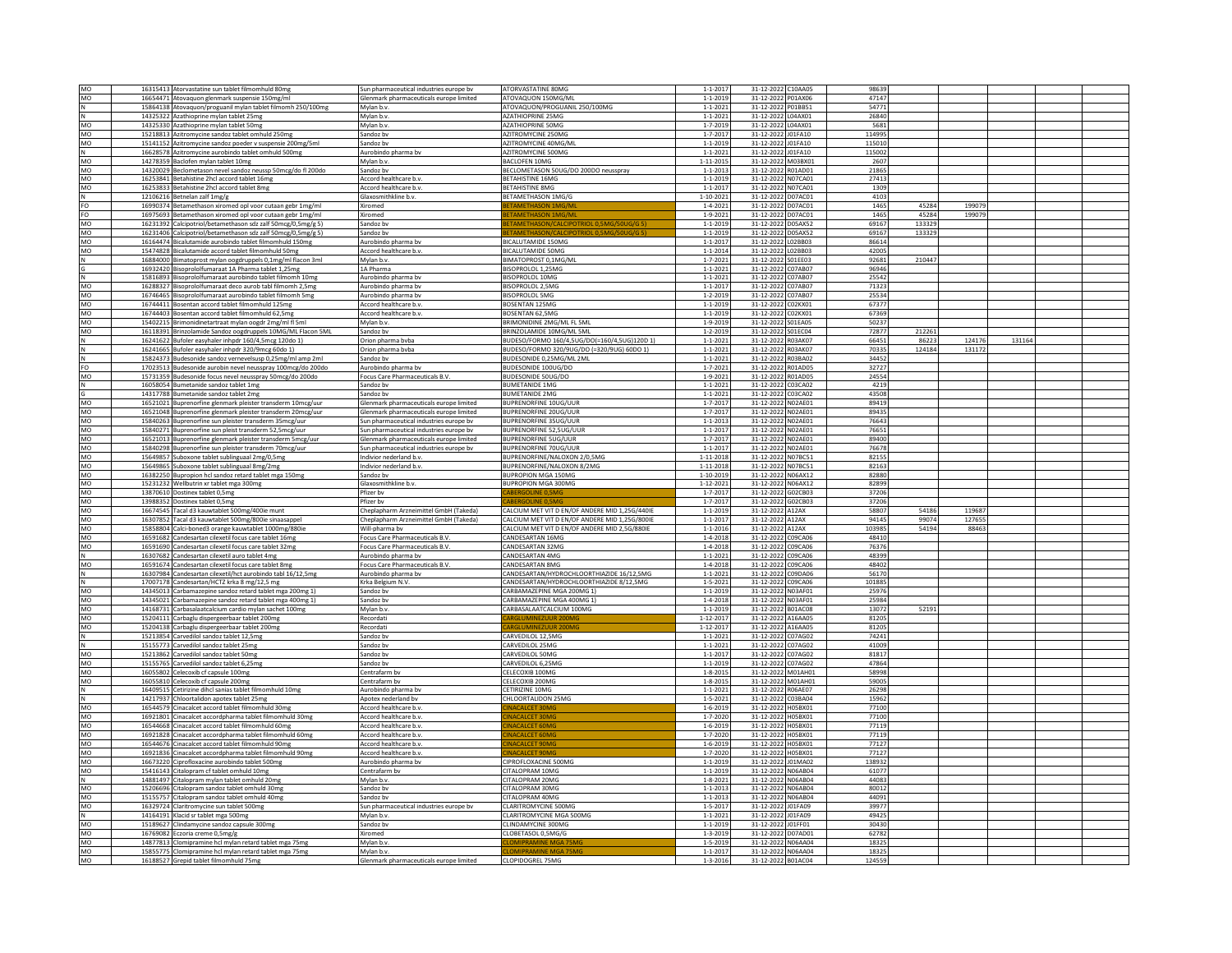| MO              | 16315413 Atorvastatine sun tablet filmomhuld 80mg                                                | Sun pharmaceutical industries europe bv               | <b>ATORVASTATINE 80MG</b>                              | $1 - 1 - 201$                    | 31-12-2022 C10AA05                       | 98639           |        |        |        |  |
|-----------------|--------------------------------------------------------------------------------------------------|-------------------------------------------------------|--------------------------------------------------------|----------------------------------|------------------------------------------|-----------------|--------|--------|--------|--|
| MO              | 16654471 Atovaquon glenmark suspensie 150mg/ml                                                   | Glenmark pharmaceuticals europe limited               | ATOVAQUON 150MG/ML                                     | $1 - 1 - 2019$                   | 31-12-2022 P01AX06                       | 47147           |        |        |        |  |
| N               | 15864138 Atovaquon/proguanil mylan tablet filmomh 250/100mg                                      | Mylan h.v.                                            | ATOVAQUON/PROGUANIL 250/100MG                          | $1 - 1 - 2021$                   | 31-12-2022 P01BB51                       | 54771           |        |        |        |  |
| $\,$ N          | 14325322 Azathioprine mylan tablet 25mg                                                          | Mylan b.v.                                            | <b>AZATHIOPRINE 25MG</b>                               | $1 - 1 - 2021$                   | 31-12-2022 L04AX01                       | 26840           |        |        |        |  |
|                 |                                                                                                  |                                                       |                                                        |                                  |                                          | 5681            |        |        |        |  |
| MO              | 14325330 Azathioprine mylan tablet 50mg                                                          | Mylan b.v.                                            | <b>AZATHIOPRINE 50MG</b>                               | $1 - 7 - 2019$                   | 31-12-2022 L04AX01                       |                 |        |        |        |  |
| MO              | 15218813 Azitromycine sandoz tablet omhuld 250mg                                                 | Sandoz bv                                             | AZITROMYCINE 250MG                                     | $1 - 7 - 201$                    | 31-12-2022 J01FA10                       | 114995          |        |        |        |  |
| MO              | 15141152 Azitromycine sandoz poeder v suspensie 200mg/5ml                                        | Sandoz by                                             | AZITROMYCINE 40MG/MI                                   | $1 - 1 - 2019$                   | 31-12-2022 J01FA10                       | 115010          |        |        |        |  |
| N               | 16628578 Azitromycine aurobindo tablet omhuld 500mg                                              | Aurobindo pharma bv                                   | AZITROMYCINE 500MG                                     | $1 - 1 - 2021$                   | 31-12-2022 J01FA10                       | 115002          |        |        |        |  |
| MO              | 14278359 Baclofen mylan tablet 10mg                                                              | Mylan b.v.                                            | <b>BACLOFEN 10MG</b>                                   | $1 - 11 - 2015$                  | 31-12-2022 M03BX01                       | 2607            |        |        |        |  |
| <b>MO</b>       |                                                                                                  | Sandoz by                                             | BECLOMETASON 50UG/DO 200DO neusspray                   | $1 - 1 - 2013$                   | 31-12-2022 R01AD01                       | 21865           |        |        |        |  |
|                 | 14320029 Beclometason nevel sandoz neussp 50mcg/do fl 200do                                      |                                                       |                                                        |                                  |                                          |                 |        |        |        |  |
| MO              | 16253841 Betahistine 2hcl accord tablet 16mg                                                     | Accord healthcare b.v                                 | <b>BETAHISTINE 16MG</b>                                | $1 - 1 - 2019$                   | 31-12-2022 NO7CA01                       | 2741            |        |        |        |  |
| MO              | 16253833 Betahistine 2hcl accord tablet 8mg                                                      | Accord healthcare b.v                                 | <b>BETAHISTINE 8MG</b>                                 | $1 - 1 - 201$                    | 31-12-2022 N07CA01                       | 1309            |        |        |        |  |
|                 | 12106216 Betnelan zalf 1mg/g                                                                     | Glaxosmithkline b.v.                                  | <b>BETAMETHASON 1MG/G</b>                              | $1 - 10 - 2021$                  | 31-12-2022 D07AC01                       | 4103            |        |        |        |  |
| FO              | 16990374 Betamethason xiromed opl voor cutaan gebr 1mg/ml                                        | Xiromed                                               |                                                        | $1 - 4 - 2021$                   | 31-12-2022 D07AC01                       | 1465            | 45284  | 199079 |        |  |
| FO              | 16975693 Betamethason xiromed opl voor cutaan gebr 1mg/ml                                        | Xiromed                                               | <b>TAMETHASON 1MG/M</b>                                | $1 - 9 - 2021$                   | 31-12-2022 D07AC01                       | 1465            | 45284  | 199079 |        |  |
| MO              | 16231392 Calcipotriol/betamethason sdz zalf 50mcg/0,5mg/g 5)                                     | Sandoz bv                                             | <b>TAMETHASON/CALCIPOTRIOL 0.5MG/50UG/G 5</b>          | $1 - 1 - 2019$                   | 31-12-2022 D05AX52                       | 69167           | 133329 |        |        |  |
|                 |                                                                                                  |                                                       |                                                        |                                  |                                          |                 |        |        |        |  |
| MO              | 16231406 Calcipotriol/betamethason sdz zalf 50mcg/0,5mg/g 5)                                     | Sandoz by                                             | ETAMETHASON/CALCIPOTRIOL 0.5MG/50UG/G 5)               | $1 - 1 - 2019$                   | 31-12-2022 D05AX52                       | 69167           | 133329 |        |        |  |
| MO              | 16164474 Bicalutamide aurobindo tablet filmomhuld 150mg                                          | Aurobindo pharma bv                                   | BICALUTAMIDE 150MG                                     | $1 - 1 - 201$                    | 31-12-2022 L02BB03                       | 86614           |        |        |        |  |
| MO              | 15474828 Bicalutamide accord tablet filmomhuld 50mg                                              | Accord healthcare b.v                                 | <b>BICALUTAMIDE 50MG</b>                               | $1 - 1 - 2014$                   | 31-12-2022 L02BB03                       | 42005           |        |        |        |  |
| N               | 16884000 Bimatoprost mylan oogdruppels 0,1mg/ml flacon 3ml                                       | Mylan b.v.                                            | BIMATOPROST 0,1MG/ML                                   | $1 - 7 - 2021$                   | 31-12-2022 SO1EE03                       | 92681           | 210447 |        |        |  |
|                 | 16932420 Bisoprololfumaraat 1A Pharma tablet 1.25mg                                              | 1A Pharma                                             | BISOPROLOL 1,25MG                                      | $1 - 1 - 2021$                   | 31-12-2022 C07AB07                       | 96946           |        |        |        |  |
| N               | 15816893 Bisoprololfumaraat aurobindo tablet filmomh 10mg                                        | Aurobindo pharma bv                                   | BISOPROLOL 10MG                                        | $1 - 1 - 2021$                   | 31-12-2022 C07AB07                       | 25542           |        |        |        |  |
| MO              | 16288327 Bisoprololfumaraat deco aurob tabl filmomh 2,5mg                                        | Aurobindo pharma bv                                   | BISOPROLOL 2,5MG                                       | $1 - 1 - 201$                    | 31-12-2022 C07AB07                       | 71323           |        |        |        |  |
| <b>MO</b>       |                                                                                                  | Aurobindo pharma by                                   | <b>BISOPROLOL 5MG</b>                                  |                                  | 31-12-2022 C07AB07                       | 25534           |        |        |        |  |
|                 | 16746465 Bisoprololfumaraat aurobindo tablet filmomh 5mg                                         |                                                       |                                                        | $1 - 2 - 2019$                   |                                          |                 |        |        |        |  |
| MO              | 16744411 Bosentan accord tablet filmomhuld 125mg                                                 | Accord healthcare b.v                                 | BOSENTAN 125MG                                         | $1 - 1 - 2019$                   | 31-12-2022 C02KX01                       | 67377           |        |        |        |  |
| MO              | 16744403 Bosentan accord tablet filmomhuld 62,5mg                                                | Accord healthcare b.v                                 | BOSENTAN 62,5MG                                        | $1 - 1 - 2019$                   | 31-12-2022 C02KX01                       | 67369           |        |        |        |  |
| MO              | 15402215 Brimonidinetartraat mylan oogdr 2mg/ml fl 5ml                                           | Mylan b.v.                                            | BRIMONIDINE 2MG/ML FL 5ML                              | 1-9-2019                         | 31-12-2022 SO1EA05                       | 50237           |        |        |        |  |
| MO              | 16118391 Brinzolamide Sandoz oogdruppels 10MG/ML Flacon 5ML                                      | Sandoz bv                                             | BRINZOLAMIDE 10MG/ML 5ML                               | $1 - 2 - 2019$                   | 31-12-2022 S01EC04                       | 72877           | 212261 |        |        |  |
| N               | 16241622 Bufoler easyhaler inhpdr 160/4,5mcg 120do 1)                                            | Orion pharma bvba                                     | BUDESO/FORMO 160/4,5UG/DO(=160/4,5UG)120D 1)           | $1 - 1 - 2021$                   | 31-12-2022 R03AK07                       | 66451           | 86223  | 124176 | 131164 |  |
| N               | 16241665 Bufoler easyhaler inhpdr 320/9mcg 60do 1)                                               | Orion pharma bvba                                     | BUDESO/FORMO 320/9UG/DO (=320/9UG) 60DO 1)             | $1 - 1 - 2021$                   | 31-12-2022 R03AK07                       | 70335           | 124184 | 131172 |        |  |
|                 |                                                                                                  |                                                       |                                                        |                                  | 31-12-2022 R03BA02                       | 34452           |        |        |        |  |
| N               | 15824373 Budesonide sandoz vernevelsusp 0,25mg/ml amp 2ml                                        | Sandoz by                                             | BUDESONIDE 0.25MG/ML 2ML                               | $1 - 1 - 2021$                   |                                          |                 |        |        |        |  |
| FO              | 17023513 Budesonide aurobin nevel neusspray 100mcg/do 200do                                      | Aurobindo pharma by                                   | BUDESONIDE 100UG/DO                                    | $1 - 7 - 2021$                   | 31-12-2022 R01AD05                       | 32727           |        |        |        |  |
| MO              | 15731359 Budesonide focus nevel neusspray 50mcg/do 200do                                         | Focus Care Pharmaceuticals B.V.                       | BUDESONIDE 50UG/DO                                     | $1 - 9 - 2021$                   | 31-12-2022 R01AD05                       | 24554           |        |        |        |  |
| N               | 16058054 Bumetanide sandoz tablet 1mg                                                            | Sandoz by                                             | <b>BUMETANIDE 1MG</b>                                  | $1 - 1 - 2021$                   | 31-12-2022 C03CA02                       | 4219            |        |        |        |  |
| G               | 14317788 Bumetanide sandoz tablet 2mg                                                            | Sandoz bv                                             | <b>BUMETANIDE 2MG</b>                                  | $1 - 1 - 2021$                   | 31-12-2022 C03CA02                       | 43508           |        |        |        |  |
| MO              | 16521021 Buprenorfine glenmark pleister transderm 10mcg/uur                                      | Glenmark pharmaceuticals europe limited               | <b>BUPRENOREINE 10UG/UUR</b>                           | $1 - 7 - 201$                    | 31-12-2022 NO2AE01                       | 89419           |        |        |        |  |
|                 |                                                                                                  |                                                       | <b>BUPRENORFINE 20UG/UUR</b>                           | $1 - 7 - 201$                    |                                          | 89435           |        |        |        |  |
| MO              | 16521048 Buprenorfine glenmark pleister transderm 20mcg/uur                                      | Glenmark pharmaceuticals europe limited               |                                                        |                                  | 31-12-2022 NO2AE01                       |                 |        |        |        |  |
| MO              | 15840263 Buprenorfine sun pleister transderm 35mcg/uur                                           | Sun pharmaceutical industries europe bv               | <b>BUPRENORFINE 35UG/UUR</b>                           | $1 - 1 - 2013$                   | 31-12-2022 NO2AE01                       | 76643           |        |        |        |  |
| MO              | 15840271 Buprenorfine sun pleist transderm 52,5mcg/uur                                           | Sun pharmaceutical industries europe bv               | BUPRENORFINE 52,5UG/UUR                                | $1 - 1 - 201$                    | 31-12-2022 NO2AE01                       | 76651           |        |        |        |  |
| MO              | 16521013 Buprenorfine glenmark pleister transderm 5mcg/uur                                       | Glenmark pharmaceuticals europe limited               | <b>BUPRENORFINE 5UG/UUR</b>                            | $1 - 7 - 201$                    | 31-12-2022 NO2AE01                       | 89400           |        |        |        |  |
| MO              | 15840298 Buprenorfine sun pleister transderm 70mcg/uur                                           | Sun pharmaceutical industries europe bv               | BUPRENORFINE 70UG/UUR                                  | $1 - 1 - 2017$                   | 31-12-2022 N02AE01                       | 76678           |        |        |        |  |
| MO              | 15649857 Suboxone tablet sublinguaal 2mg/0,5mg                                                   | Indivior nederland b.v.                               | BUPRENORFINE/NALOXON 2/0,5MG                           | $1 - 11 - 2018$                  | 31-12-2022 N07BC51                       | 8215            |        |        |        |  |
| <b>MO</b>       | 15649865 Suboxone tablet sublinguaal 8mg/2mg                                                     | Indivior nederland b.v.                               | <b>BUPRENOREINE/NALOXON 8/2MG</b>                      | 1-11-2018                        | 31-12-2022 N07BC51                       | 82163           |        |        |        |  |
|                 | 16382250 Bupropion hcl sandoz retard tablet mga 150mg                                            | Sandoz by                                             | <b>BUPROPION MGA 150MG</b>                             | $1 - 10 - 2019$                  | 31-12-2022 N06AX12                       | 82880           |        |        |        |  |
| MO              |                                                                                                  |                                                       |                                                        |                                  |                                          |                 |        |        |        |  |
| MO              | 15231232 Wellbutrin xr tablet mga 300mg                                                          | Glaxosmithkline b.v.                                  | BUPROPION MGA 300MG                                    | 1-12-2021                        | 31-12-2022 N06AX12                       | 82899           |        |        |        |  |
| MO              | 13870610 Dostinex tablet 0,5mg                                                                   | Pfizer bv                                             |                                                        | $1 - 7 - 201$                    | 31-12-2022 G02CB03                       | 37206           |        |        |        |  |
| MO              | 13988352 Dostinex tablet 0,5mg                                                                   | Pfizer bv                                             |                                                        | $1 - 7 - 2017$                   | 31-12-2022 G02CB03                       | 37206           |        |        |        |  |
| MO              | 16674545 Tacal d3 kauwtablet 500mg/400ie munt                                                    | Cheplapharm Arzneimittel GmbH (Takeda)                | CALCIUM MET VIT D EN/OF ANDERE MID 1,25G/440IE         | $1 - 1 - 2019$                   | 31-12-2022 A12AX                         | 58807           | 54186  | 119687 |        |  |
| MO              | 16307852 Tacal d3 kauwtablet 500mg/800ie sinaasappel                                             | Cheplapharm Arzneimittel GmbH (Takeda)                | CALCIUM MET VIT D EN/OF ANDERE MID 1,25G/800IE         | $1 - 1 - 201$                    | 31-12-2022 A12AX                         | 94145           | 99074  | 127655 |        |  |
| MO              |                                                                                                  | Will-pharma by                                        | CALCIUM MET VIT D EN/OF ANDERE MID 2.5G/880IE          | $1 - 1 - 2016$                   | 31-12-2022 A12AX                         | 103985          | 54194  | 88463  |        |  |
|                 | 15858804 Calci-boned3 orange kauwtablet 1000mg/880ie                                             |                                                       |                                                        |                                  |                                          |                 |        |        |        |  |
|                 |                                                                                                  |                                                       |                                                        |                                  |                                          |                 |        |        |        |  |
| MO              | 16591682 Candesartan cilexetil focus care tablet 16mg                                            | Focus Care Pharmaceuticals B.V.                       | CANDESARTAN 16MG                                       | $1 - 4 - 2018$                   | 31-12-2022 C09CA06                       | 48410           |        |        |        |  |
| MO              | 16591690 Candesartan cilexetil focus care tablet 32mg                                            | Focus Care Pharmaceuticals B.V                        | ANDESARTAN 32MG                                        | $1 - 4 - 2018$                   | 31-12-2022 C09CA06                       | 76376           |        |        |        |  |
| $\mathsf N$     | 16307682 Candesartan cilexetil auro tablet 4mg                                                   | Aurobindo pharma bv                                   | CANDESARTAN 4MG                                        | $1 - 1 - 2021$                   | 31-12-2022 C09CA06                       | 48399           |        |        |        |  |
| MO              | 16591674 Candesartan cilexetil focus care tablet 8mg                                             | Focus Care Pharmaceuticals B.V.                       | CANDESARTAN 8MG                                        | $1 - 4 - 2018$                   | 31-12-2022 C09CA06                       | 48402           |        |        |        |  |
| N               | 16307984 Candesartan cilexetil/hct aurobindo tabl 16/12.5mg                                      | Aurobindo pharma by                                   |                                                        | $1 - 1 - 2021$                   | 31-12-2022 C09DA06                       | 56170           |        |        |        |  |
|                 |                                                                                                  |                                                       | CANDESARTAN/HYDROCHLOORTHIAZIDE 16/12,5MG              |                                  |                                          |                 |        |        |        |  |
| $\mathsf N$     | 17007178 Candesartan/HCTZ krka 8 mg/12,5 mg                                                      | Krka Belgium N.V.                                     | CANDESARTAN/HYDROCHLOORTHIAZIDE 8/12,5MG               | $1 - 5 - 202$                    | 31-12-2022 C09CA06                       | 101885          |        |        |        |  |
| MO              | 14345013 Carbamazepine sandoz retard tablet mga 200mg 1)                                         | Sandoz by                                             | CARBAMAZEPINE MGA 200MG 1)                             | $1 - 1 - 2019$                   | 31-12-2022 N03AF01                       | 25976           |        |        |        |  |
| MO              | 14345021 Carbamazepine sandoz retard tablet mga 400mg 1)                                         | Sandoz bv                                             | CARBAMAZEPINE MGA 400MG 1)                             | $1 - 4 - 2018$                   | 31-12-2022 N03AF01                       | 25984           |        |        |        |  |
| MO              | 14168731 Carbasalaatcalcium cardio mylan sachet 100mg                                            | Mylan b.v.                                            | CARBASALAATCALCIUM 100MG                               | $1 - 1 - 2019$                   | 31-12-2022 B01AC08                       | 13072           | 52191  |        |        |  |
| MO              | 15204111 Carbaglu dispergeerbaar tablet 200mg                                                    | Recordati                                             | <b>ARGI UMINEZULIR 200</b>                             | $1 - 12 - 2017$                  | 31-12-2022 A16AA05                       | 81205           |        |        |        |  |
| MO              | 15204138 Carbaglu dispergeerbaar tablet 200mg                                                    | Recordati                                             | <b>ARGLUMINEZUUR 200MG</b>                             | $1 - 12 - 201$                   | 31-12-2022 A16AA05                       | 81205           |        |        |        |  |
| N               |                                                                                                  | Sandoz by                                             | CARVEDILOL 12.5MG                                      | $1 - 1 - 2021$                   |                                          | 74241           |        |        |        |  |
|                 | 15213854 Carvedilol sandoz tablet 12,5mg                                                         |                                                       |                                                        |                                  | 31-12-2022 C07AG02                       |                 |        |        |        |  |
|                 | 15155773 Carvedilol sandoz tablet 25mg                                                           | Sandoz bv                                             | CARVEDILOL 25MG                                        | $1 - 1 - 2021$                   | 31-12-2022 C07AG02                       | 41009           |        |        |        |  |
| MO              | 15213862 Carvedilol sandoz tablet 50mg                                                           | Sandoz by                                             | CARVEDILOL 50MG                                        | $1 - 1 - 201$                    | 31-12-2022 C07AG02                       | 81817           |        |        |        |  |
| MO              | 15155765 Carvedilol sandoz tablet 6,25mg                                                         | Sandoz bv                                             | CARVEDILOL 6,25MG                                      | $1 - 1 - 2019$                   | 31-12-2022 C07AG02                       | 47864           |        |        |        |  |
| MO              | 16055802 Celecoxib cf capsule 100mg                                                              | Centrafarm bv                                         | CELECOXIB 100MG                                        | $1 - 8 - 2015$                   | 31-12-2022 M01AH01                       | 58998           |        |        |        |  |
| MO              | 16055810 Celecoxib cf capsule 200mg                                                              | Centrafarm by                                         | CELECOXIB 200MG                                        | $1 - 8 - 2015$                   | 31-12-2022 M01AH01                       | 59005           |        |        |        |  |
| $\,$ N          | 16409515 Cetirizine dihcl sanias tablet filmomhuld 10mg                                          | Aurobindo pharma bv                                   | CETIRIZINE 10MG                                        | $1 - 1 - 2021$                   | 31-12-2022 R06AE07                       | 26298           |        |        |        |  |
| N               | 14217937 Chloortalidon apotex tablet 25mg                                                        | Apotex nederland by                                   | CHLOORTALIDON 25MG                                     | $1 - 5 - 2021$                   | 31-12-2022 C03BA04                       | 15962           |        |        |        |  |
|                 |                                                                                                  |                                                       |                                                        |                                  |                                          |                 |        |        |        |  |
| MO              | 16544579 Cinacalcet accord tablet filmomhuld 30mg                                                | Accord healthcare b.v                                 | <b>INACALCET 30M</b>                                   | $1 - 6 - 2019$                   | 31-12-2022 H05BX01                       | 77100           |        |        |        |  |
| <b>MO</b>       | 16921801 Cinacalcet accordpharma tablet filmomhuld 30me                                          | Accord healthcare b.v                                 |                                                        | $1 - 7 - 2020$                   | 31-12-2022 H05BX01                       | 77100           |        |        |        |  |
| MO              | 16544668 Cinacalcet accord tablet filmomhuld 60mg                                                | Accord healthcare b.v.                                | <b>INACALCET 60MC</b>                                  | $1 - 6 - 2019$                   | 31-12-2022 H05BX01                       | 77119           |        |        |        |  |
| MO              | 16921828 Cinacalcet accordpharma tablet filmomhuld 60mg                                          | Accord healthcare b.v                                 |                                                        | $1 - 7 - 2020$                   | 31-12-2022 H05BX01                       | 77119           |        |        |        |  |
| MO              | 16544676 Cinacalcet accord tablet filmomhuld 90mg                                                | Accord healthcare b.v                                 | <b>INACALCET 90MG</b>                                  | $1 - 6 - 2019$                   | 31-12-2022 H05BX01                       | 77127           |        |        |        |  |
| MO              | 16921836 Cinacalcet accordpharma tablet filmomhuld 90mg                                          | Accord healthcare b.v                                 | <b>INACALCET 90MG</b>                                  | $1 - 7 - 2020$                   | 31-12-2022 H05BX01                       | 77127           |        |        |        |  |
| MO              | 16673220 Ciprofloxacine aurobindo tablet 500mg                                                   | Aurobindo pharma bv                                   | CIPROFLOXACINE 500MG                                   | $1 - 1 - 2019$                   |                                          | 138932          |        |        |        |  |
|                 |                                                                                                  |                                                       | CITALOPRAM 10MG                                        |                                  | 31-12-2022 J01MA02                       |                 |        |        |        |  |
| MO              | 15416143 Citalopram cf tablet omhuld 10mg                                                        | Centrafarm bv                                         |                                                        | $1 - 1 - 2019$                   | 31-12-2022 N06AB04                       | 61077           |        |        |        |  |
| N               | 14881497 Citalopram mylan tablet omhuld 20mg                                                     | Mylan b.v.                                            | CITALOPRAM 20MG                                        | $1 - 8 - 2021$                   | 31-12-2022 N06AB04                       | 44083           |        |        |        |  |
| MO              | 15206696 Citalopram sandoz tablet omhuld 30mg                                                    | Sandoz bv                                             | CITALOPRAM 30MG                                        | $1 - 1 - 201$                    | 31-12-2022 N06AB04                       | 80012           |        |        |        |  |
| MO              | 15155757 Citalopram sandoz tablet omhuld 40mg                                                    | Sandoz by                                             | CITALOPRAM 40MG                                        | $1 - 1 - 201$                    | 31-12-2022 N06AB04                       | 44091           |        |        |        |  |
| MO              | 16329724 Claritromycine sun tablet 500mg                                                         | Sun pharmaceutical industries europe bv               | <b>CLARITROMYCINE 500MG</b>                            | $1 - 5 - 201$                    | 31-12-2022 J01FA09                       | 39977           |        |        |        |  |
|                 | 14164191 Klacid sr tablet mga 500mg                                                              | Mylan b.v                                             | CLARITROMYCINE MGA 500MG                               | $1 - 1 - 202$                    | 31-12-2022 J01FA09                       | 49425           |        |        |        |  |
| MO              | 15189627 Clindamycine sandoz capsule 300mg                                                       | Sandoz by                                             | CLINDAMYCINE 300MG                                     | $1 - 1 - 2019$                   | 31-12-2022 J01FF01                       | 30430           |        |        |        |  |
|                 |                                                                                                  |                                                       |                                                        |                                  |                                          |                 |        |        |        |  |
| MO              | 16769082 Eczoria creme 0,5mg/g                                                                   | Xiromed                                               | CLOBETASOL 0.5MG/G                                     | $1 - 3 - 2019$                   | 31-12-2022 D07AD01                       | 62782           |        |        |        |  |
| MO              | 14877813 Clomipramine hcl mylan retard tablet mga 75mg                                           | Mylan b.v.                                            | OMIPRAMINE MGA 75.                                     | $1 - 5 - 2019$                   | 31-12-2022 N06AA04                       | 18325           |        |        |        |  |
| <b>MO</b><br>MO | 15855775 Clomipramine hcl mylan retard tablet mga 75mg<br>16188527 Grepid tablet filmomhuld 75mg | Mylan h.y.<br>Glenmark pharmaceuticals europe limited | <b>I OMIPRAMINE MGA 75M</b><br><b>CLOPIDOGREL 75MG</b> | $1 - 1 - 2017$<br>$1 - 3 - 2016$ | 31-12-2022 NO6AA04<br>31-12-2022 B01AC04 | 18325<br>124559 |        |        |        |  |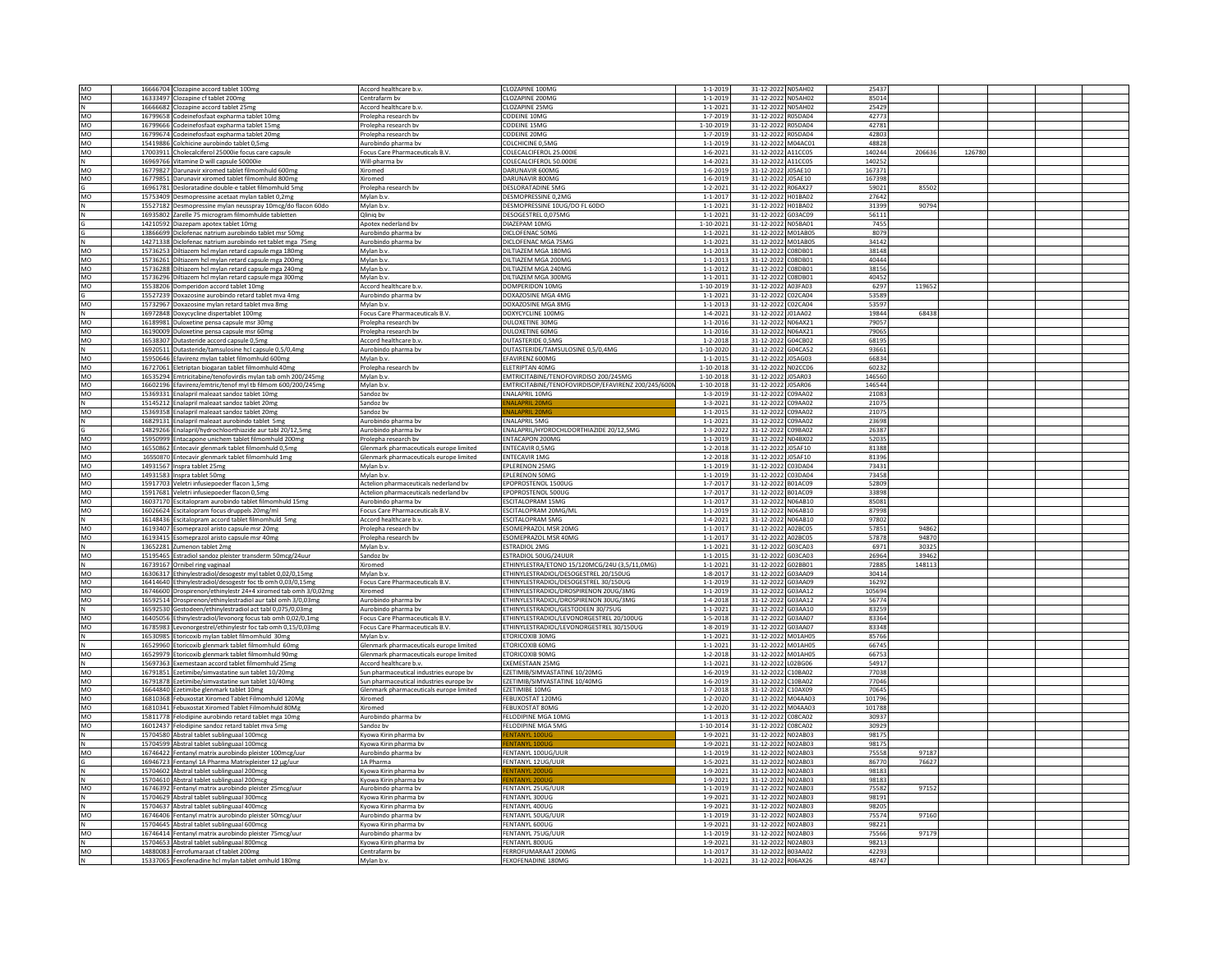|              | 16666704 Clozapine accord tablet 100mg                                               | Accord healthcare b.v                                  | CLOZAPINE 100MG                                                               | $1 - 1 - 2019$                   | 31-12-2022 N05AH02                          | 25437          |        |        |  |  |
|--------------|--------------------------------------------------------------------------------------|--------------------------------------------------------|-------------------------------------------------------------------------------|----------------------------------|---------------------------------------------|----------------|--------|--------|--|--|
| MO           |                                                                                      | Centrafarm by                                          | CLOZAPINE 200MG                                                               | $1 - 1 - 2019$                   | 31-12-2022 N05AH02                          | 85014          |        |        |  |  |
| MO           | 16333497 Clozapine cf tablet 200mg                                                   |                                                        | CLOZAPINE 25MG                                                                |                                  | 31-12-2022 N05AH02                          | 25429          |        |        |  |  |
| N            | 16666682 Clozapine accord tablet 25mg                                                | Accord healthcare b.v                                  |                                                                               | $1 - 1 - 2021$                   |                                             |                |        |        |  |  |
| MO           | 16799658 Codeinefosfaat expharma tablet 10mg                                         | Prolepha research by                                   | CODEINE 10MG                                                                  | $1 - 7 - 2019$                   | 31-12-2022 R05DA04                          | 42773          |        |        |  |  |
| MO           | 16799666 Codeinefosfaat expharma tablet 15mg                                         | Prolepha research by                                   | CODEINE 15MG                                                                  | 1-10-2019                        | 31-12-2022 R05DA04                          | 42781          |        |        |  |  |
| MO           | 16799674 Codeinefosfaat expharma tablet 20mg                                         | Prolepha research bv                                   | CODEINE 20MG                                                                  | $1 - 7 - 2019$                   | 31-12-2022 R05DA04                          | 42803          |        |        |  |  |
| MO           | 15419886 Colchicine aurobindo tablet 0,5mg                                           | Aurobindo pharma bv                                    | COLCHICINE 0,5MG                                                              | $1 - 1 - 2019$                   | 31-12-2022<br>M04AC01                       | 48828          |        |        |  |  |
| MO           | 17003911 Cholecalciferol 25000ie focus care capsule                                  | Focus Care Pharmaceuticals B.V.                        | COLECALCIFEROL 25,000IF                                                       | $1 - 6 - 2021$                   | 31-12-2022 A11CC05                          | 140244         | 206636 | 126780 |  |  |
| N            | 16969766 Vitamine D will capsule 50000ie                                             | Will-pharma bv                                         | COLECALCIFEROL 50.000IE                                                       | $1 - 4 - 2021$                   | 31-12-2022 A11CC05                          | 140252         |        |        |  |  |
| MO           | 16779827 Darunavir xiromed tablet filmomhuld 600mg                                   | Xiromed                                                | <b>DARUNAVIR 600MG</b>                                                        | $1 - 6 - 2019$                   | 31-12-2022 J05AE10                          | 167371         |        |        |  |  |
| MO           | 16779851 Darunavir xiromed tablet filmomhuld 800mg                                   | Xiromed                                                | DARUNAVIR 800MG                                                               | $1 - 6 - 2019$                   | 31-12-2022<br>J05AE10                       | 167398         |        |        |  |  |
|              | 16961781 Desloratadine double-e tablet filmomhuld 5mg                                | Prolepha research bv                                   | <b>DESLORATADINE 5MG</b>                                                      | $1 - 2 - 2021$                   | 31-12-2022<br>R06AX27                       | 59021          | 85502  |        |  |  |
| MO           | 15753409 Desmopressine acetaat mylan tablet 0,2mg                                    | Mylan b.y                                              | DESMOPRESSINE 0.2MG                                                           | $1 - 1 - 2017$                   | 31-12-2022 H01BA02                          | 27642          |        |        |  |  |
| N            | 15527182 Desmopressine mylan neusspray 10mcg/do flacon 60do                          | Mylan b.v                                              | DESMOPRESSINE 10UG/DO FL 60DO                                                 | $1 - 1 - 2021$                   | 31-12-2022<br>H01BA02                       | 31399          | 90794  |        |  |  |
| N            | 16935802 Zarelle 75 microgram filmomhulde tabletten                                  | Qliniq by                                              | DESOGESTREL 0.075MG                                                           | $1 - 1 - 2021$                   | 31-12-2022 G03AC09                          | 56111          |        |        |  |  |
| G            | 14210592 Diazepam apotex tablet 10mg                                                 | Apotex nederland bv                                    | DIAZEPAM 10MG                                                                 | $1 - 10 - 2021$                  | 31-12-2022 N05BA01                          | 7455           |        |        |  |  |
| G            | 13866699 Diclofenac natrium aurobindo tablet msr 50m                                 | Aurobindo pharma by                                    | DICLOFENAC 50MG                                                               | $1 - 1 - 2021$                   | 31-12-2022<br>M01AB05                       | 8079           |        |        |  |  |
| $\mathsf{N}$ | 14271338 Diclofenac natrium aurobindo ret tablet mga 75mg                            | Aurobindo pharma bv                                    | DICLOFENAC MGA 75MG                                                           | $1 - 1 - 2021$                   | 31-12-2022 M01AB05                          | 34142          |        |        |  |  |
| MO           | 15736253 Diltiazem hcl mylan retard capsule mga 180mg                                | Mylan b.v.                                             | DILTIAZEM MGA 180MG                                                           | $1 - 1 - 2013$                   | 31-12-2022 C08DB01                          | 38148          |        |        |  |  |
| <b>MO</b>    | 15736261 Diltiazem hcl mylan retard capsule mga 200mg                                | Mylan b.y.                                             | DII TIAZEM MGA 200MG                                                          | $1 - 1 - 2013$                   | 31-12-2022 CO8DB01                          | 40444          |        |        |  |  |
| MO           | 15736288 Diltiazem hcl mylan retard capsule mga 240mg                                | Mylan b.v.                                             | DILTIAZEM MGA 240MG                                                           | $1 - 1 - 2012$                   | 31-12-2022 C08DB01                          | 38156          |        |        |  |  |
| MO           | 15736296 Diltiazem hcl mylan retard capsule mga 300mg                                | Mylan b.v.                                             | DILTIAZEM MGA 300MG                                                           | $1 - 1 - 2011$                   | 31-12-2022 C08DB01                          | 40452          |        |        |  |  |
|              |                                                                                      |                                                        |                                                                               |                                  |                                             |                | 119652 |        |  |  |
| MO           | 15538206 Domperidon accord tablet 10mg                                               | Accord healthcare b.v.                                 | DOMPERIDON 10MG                                                               | $1 - 10 - 2019$                  | 31-12-2022 A03FA03                          | 6297           |        |        |  |  |
|              | 15527239 Doxazosine aurobindo retard tablet mya 4mg                                  | Aurobindo pharma by                                    | OXAZOSINE MGA 4MG                                                             | $1 - 1 - 2021$                   | C02CA04<br>31-12-2022                       | 53589          |        |        |  |  |
| MO           | 15732967 Doxazosine mylan retard tablet mva 8mg                                      | Mylan b.v.                                             | DOXAZOSINE MGA 8MG                                                            | $1 - 1 - 2013$                   | 31-12-2022 C02CA04                          | 53597          |        |        |  |  |
| N            | 16972848 Doxycycline dispertablet 100mg                                              | Focus Care Pharmaceuticals B.V.                        | DOXYCYCLINE 100MG                                                             | $1 - 4 - 2021$                   | 31-12-2022 J01AA02                          | 19844          | 68438  |        |  |  |
| MO           | 16189981 Duloxetine pensa capsule msr 30mg                                           | Prolepha research by                                   | DUI OXETINE 30MG                                                              | $1 - 1 - 2016$                   | 31-12-2022 N06AX21                          | 79057          |        |        |  |  |
| MO           | 16190009 Duloxetine pensa capsule msr 60mg                                           | Prolepha research by                                   | DULOXETINE 60MG                                                               | $1 - 1 - 2016$                   | 31-12-2022<br>N06AX21                       | 79065          |        |        |  |  |
| MO           | 16538307 Dutasteride accord capsule 0,5mg                                            | Accord healthcare b.v                                  | DUTASTERIDE 0.5MG                                                             | $1 - 2 - 2018$                   | 31-12-2022 G04CB02                          | 68195          |        |        |  |  |
| N            | 16920511 Dutasteride/tamsulosine hcl capsule 0,5/0,4mg                               | Aurobindo pharma bv                                    | DUTASTERIDE/TAMSULOSINE 0,5/0,4MG                                             | $1 - 10 - 2020$                  | 31-12-2022 G04CA52                          | 93661          |        |        |  |  |
| MO           | 15950646 Efavirenz mylan tablet filmomhuld 600mg                                     | Mylan b.v.                                             | FAVIRENZ 600MG                                                                | $1 - 1 - 2015$                   | 31-12-2022 J05AG03                          | 66834          |        |        |  |  |
| MO           | 16727061 Eletriptan biogaran tablet filmomhuld 40mg                                  | Prolepha research bv                                   | <b>ELETRIPTAN 40MG</b>                                                        | $1 - 10 - 2018$                  | 31-12-2022 N02CC06                          | 60232          |        |        |  |  |
| MO           | 16535294 Emtricitabine/tenofovirdis mylan tab omh 200/245mg                          | Mylan b.v.                                             | EMTRICITABINE/TENOFOVIRDISO 200/245MG                                         | $1 - 10 - 2018$                  | 31-12-2022 J05AR03                          | 146560         |        |        |  |  |
| <b>MO</b>    | 16602196 Efavirenz/emtric/tenof myl tb filmom 600/200/245mg                          | Mylan b.v.                                             | EMTRICITABINE/TENOFOVIRDISOP/EFAVIRENZ 200/245/600N                           | 1-10-2018                        | 31-12-2022 J05AR06                          | 146544         |        |        |  |  |
| MO           | 15369331 Enalapril maleaat sandoz tablet 10mg                                        | Sandoz by                                              | <b>ENALAPRIL 10MG</b>                                                         | $1 - 3 - 2019$                   | 31-12-2022<br>C09AA02                       | 21083          |        |        |  |  |
| N            | 15145212 Enalapril maleaat sandoz tablet 20mg                                        | Sandoz by                                              |                                                                               | $1 - 3 - 2021$                   | 31-12-2022 C09AA02                          | 21075          |        |        |  |  |
| MO           | 15369358 Enalapril maleaat sandoz tablet 20mg                                        | Sandoz bv                                              | <b>NALAPRIL 20M</b>                                                           | $1 - 1 - 2015$                   | 31-12-2022 C09AA02                          | 21075          |        |        |  |  |
| N            | 16829131 Enalapril maleaat aurobindo tablet 5mg                                      | Aurobindo pharma by                                    | <b>ENALAPRIL 5MG</b>                                                          | $1 - 1 - 2021$                   | 31-12-2022<br>C09AA02                       | 23698          |        |        |  |  |
| G            | 14829266 Enalapril/hydrochloorthiazide aur tabl 20/12,5mg                            | Aurobindo pharma bv                                    | ENALAPRIL/HYDROCHLOORTHIAZIDE 20/12,5MG                                       | $1 - 3 - 2022$                   | 31-12-2022 C09BA02                          | 26387          |        |        |  |  |
| MO           | 15950999 Entacapone unichem tablet filmomhuld 200mg                                  | Prolepha research bv                                   | ENTACAPON 200MG                                                               | $1 - 1 - 2019$                   | 31-12-2022 N04BX02                          | 52035          |        |        |  |  |
| <b>MO</b>    | 16550862 Entecavir glenmark tablet filmomhuld 0,5mg                                  | Glenmark pharmaceuticals europe limited                | <b>ENTECAVIR 0.5MG</b>                                                        | $1 - 2 - 2018$                   | 31-12-2022 IOSAE10                          | 81388          |        |        |  |  |
| MO           | 16550870 Entecavir glenmark tablet filmomhuld 1mg                                    | Glenmark pharmaceuticals europe limited                | <b>ENTECAVIR 1MG</b>                                                          | $1 - 2 - 2018$                   | J05AF10<br>31-12-2022                       | 81396          |        |        |  |  |
| MO           |                                                                                      | Mylan b.v.                                             | <b>EPLERENON 25MG</b>                                                         | $1 - 1 - 2019$                   | 31-12-2022 C03DA04                          | 73431          |        |        |  |  |
|              | 14931567 Inspra tablet 25mg                                                          |                                                        | <b>EPLERENON 50MG</b>                                                         |                                  |                                             | 73458          |        |        |  |  |
| MO           | 14931583 Inspra tablet 50mg                                                          | Mylan b.y                                              | EPOPROSTENOL 1500UG                                                           | $1 - 1 - 2019$                   | 31-12-2022 C03DA04                          | 52809          |        |        |  |  |
| MO           | 15917703 Veletri infusiepoeder flacon 1,5mg                                          | Actelion pharmaceuticals nederland bv                  |                                                                               | $1 - 7 - 2017$                   | 31-12-2022 B01AC09                          |                |        |        |  |  |
| MO           | 15917681 Veletri infusiepoeder flacon 0,5mg                                          | Actelion pharmaceuticals nederland bv                  | EPOPROSTENOL 500UG                                                            | $1 - 7 - 2017$                   | 31-12-2022 B01AC09                          | 33898          |        |        |  |  |
| MO           | 16037170 Escitalopram aurobindo tablet filmomhuld 15mg                               | Aurobindo pharma bv                                    | <b>ESCITALOPRAM 15MG</b>                                                      | $1 - 1 - 2017$                   | 31-12-2022 N06AB10                          | 85081          |        |        |  |  |
| MO           | 16026624 Escitalopram focus druppels 20mg/ml                                         | Focus Care Pharmaceuticals B.V.                        | <b>ESCITALOPRAM 20MG/ML</b>                                                   | $1 - 1 - 2019$                   | 31-12-2022 N06AB10                          | 87998          |        |        |  |  |
|              | 16148436 Escitalopram accord tablet filmomhuld 5mg                                   | Accord healthcare b.v                                  | ESCITALOPRAM 5MG                                                              | $1 - 4 - 2021$                   | N06AB10<br>31-12-2022                       | 97802          |        |        |  |  |
|              | 16193407 Esomeprazol aristo capsule msr 20mg                                         | Prolepha research by                                   | ESOMEPRAZOL MSR 20MG                                                          | $1 - 1 - 2017$                   | 31-12-2022 A02BC05                          | 57851          | 94862  |        |  |  |
| MO           |                                                                                      |                                                        |                                                                               |                                  |                                             |                |        |        |  |  |
| MO           | 16193415 Esomeprazol aristo capsule msr 40mg                                         | Prolepha research bv                                   | ESOMEPRAZOL MSR 40MG                                                          | $1 - 1 - 2017$                   | 31-12-2022 A02BC05                          | 57878          | 94870  |        |  |  |
|              | 13652281 Zumenon tablet 2mg                                                          | Mylan b.v                                              | STRADIOL 2MG                                                                  | $1 - 1 - 2021$                   | 31-12-2022 G03CA03                          | 6971           | 30325  |        |  |  |
|              | 15195465 Estradiol sandoz pleister transderm 50mcg/24uur                             | Sandoz by                                              | ESTRADIOL 50UG/24UUR                                                          | $1 - 1 - 2015$                   | 31-12-2022 G03CA03                          | 26964          | 39462  |        |  |  |
| MO<br>N      | 16739167 Ornibel ring vaginaal                                                       | Xiromed                                                | ETHINYLESTRA/ETONO 15/120MCG/24U (3,5/11,0MG)                                 | $1 - 1 - 2021$                   | 31-12-2022 G02BB01                          | 72885          | 148113 |        |  |  |
| MO           | 16306317 Ethinylestradiol/desogestr myl tablet 0,02/0,15mg                           | Mylan b.v.                                             | ETHINYLESTRADIOL/DESOGESTREL 20/150UG                                         | $1 - 8 - 2017$                   | 31-12-2022 G03AA09                          | 30414          |        |        |  |  |
| MO           | 16414640 Ethinylestradiol/desogestr foc tb omh 0,03/0,15mg                           | Focus Care Pharmaceuticals B.V.                        | ETHINYLESTRADIOL/DESOGESTREL 30/150UG                                         | $1 - 1 - 2019$                   | 31-12-2022<br>G03AA09                       | 16292          |        |        |  |  |
|              |                                                                                      | Xiromed                                                | ETHINYLESTRADIOL/DROSPIRENON 20UG/3MG                                         | $1 - 1 - 2019$                   | 31-12-2022 G03AA12                          | 105694         |        |        |  |  |
| MO<br>MO     | 16746600 Drospirenon/ethinylestr 24+4 xiromed tab omh 3/0,02mg                       | Aurobindo pharma bv                                    |                                                                               |                                  |                                             | 56774          |        |        |  |  |
| N            | 16592514 Drospirenon/ethinylestradiol aur tabl omh 3/0,03mg                          |                                                        | ETHINYLESTRADIOL/DROSPIRENON 30UG/3MG                                         | $1 - 4 - 2018$                   | 31-12-2022 G03AA12                          |                |        |        |  |  |
|              | 16592530 Gestodeen/ethinylestradiol act tabl 0,075/0,03mg                            | Aurobindo pharma bv<br>Focus Care Pharmaceuticals B.V. | THINYLESTRADIOL/GESTODEEN 30/75UG<br>ETHINYLESTRADIOL/LEVONORGESTREL 20/100UG | $1 - 1 - 2021$<br>$1 - 5 - 2018$ | 31-12-2022<br>G03AA10<br>31-12-2022 G03AA07 | 83259<br>83364 |        |        |  |  |
| MO           | 16405056 Ethinylestradiol/levonorg focus tab omh 0,02/0,1mg                          |                                                        |                                                                               |                                  |                                             |                |        |        |  |  |
| MO           | 16785983 Levonorgestrel/ethinylestr foc tab omh 0,15/0,03mg                          | Focus Care Pharmaceuticals B.V.<br>Mylan b.y.          | ETHINYLESTRADIOL/LEVONORGESTREL 30/150UG<br><b>ETORICOXIB 30MG</b>            | $1 - 8 - 2019$<br>$1 - 1 - 2021$ | 31-12-2022 G03AA07<br>31-12-2022 M01AH05    | 83348<br>85766 |        |        |  |  |
| N            | 16530985 Etoricoxib mylan tablet filmomhuld 30mg                                     |                                                        |                                                                               |                                  |                                             |                |        |        |  |  |
| N            | 16529960 Etoricoxib glenmark tablet filmomhuld 60mg                                  | Glenmark pharmaceuticals europe limited                | ETORICOXIB 60MG                                                               | $1 - 1 - 2021$                   | 31-12-2022 M01AH05                          | 66745          |        |        |  |  |
| MO           | 16529979 Etoricoxib glenmark tablet filmomhuld 90mg                                  | Glenmark pharmaceuticals europe limited                | ETORICOXIB 90MG                                                               | $1 - 2 - 2018$                   | 31-12-2022 M01AH05                          | 66753          |        |        |  |  |
| N            | 15697363 Exemestaan accord tablet filmomhuld 25mg                                    | Accord healthcare b.v.                                 | <b>FXFMFSTAAN 25MG</b>                                                        | $1 - 1 - 2021$                   | 31-12-2022 L02BG06                          | 54917          |        |        |  |  |
| MO           | 16791851 Ezetimibe/simvastatine sun tablet 10/20mg                                   | Sun pharmaceutical industries europe bv                | EZETIMIB/SIMVASTATINE 10/20MG                                                 | $1 - 6 - 2019$                   | 31-12-2022 C10BA02                          | 77038          |        |        |  |  |
| MO           | 16791878 Ezetimibe/simvastatine sun tablet 10/40mg                                   | Sun pharmaceutical industries europe by                | EZETIMIB/SIMVASTATINE 10/40MG                                                 | $1 - 6 - 2019$                   | 31-12-2022 C10BA02                          | 77046          |        |        |  |  |
| MO           | 16644840 Ezetimibe glenmark tablet 10mg                                              | Glenmark pharmaceuticals europe limited                | EZETIMIBE 10MG                                                                | $1 - 7 - 2018$                   | 31-12-2022 C10AX09                          | 70645          |        |        |  |  |
| MO           | 16810368 Febuxostat Xiromed Tablet Filmomhuld 120Ms                                  | Xiromed                                                | FEBUXOSTAT 120MG                                                              | $1 - 2 - 2020$                   | 31-12-2022 M04AA03                          | 101796         |        |        |  |  |
| MO           | 16810341 Febuxostat Xiromed Tablet Filmomhuld 80Mg                                   | Xiromed                                                | FEBUXOSTAT 80MG                                                               | $1 - 2 - 2020$                   | 31-12-2022 M04AA03                          | 101788         |        |        |  |  |
| MO           | 15811778 Felodipine aurobindo retard tablet mga 10mg                                 | Aurobindo pharma bv                                    | FELODIPINE MGA 10MG                                                           | $1 - 1 - 2013$                   | 31-12-2022 C08CA02                          | 30937          |        |        |  |  |
| MO           | 16012437 Felodipine sandoz retard tablet mva 5mg                                     | Sandoz by                                              | FFLODIPINE MGA 5MG                                                            | 1-10-2014                        | 31-12-2022 C08CA02                          | 30929          |        |        |  |  |
| $\,$ N       | 15704580 Abstral tablet sublinguaal 100mcg                                           | Kyowa Kirin pharma bv                                  |                                                                               | $1 - 9 - 2021$                   | 31-12-2022<br>N02AB03                       | 98175          |        |        |  |  |
| N            | 15704599 Abstral tablet sublinguaal 100mcg                                           | Kyowa Kirin pharma by                                  | <b>ENTANYI 100U</b>                                                           | $1 - 9 - 2021$                   | 31-12-2022 N02AB03                          | 98175          |        |        |  |  |
| MO           | 16746422 Fentanyl matrix aurobindo pleister 100mcg/uur                               | Aurobindo pharma bv                                    | FENTANYL 100UG/UUR                                                            | $1 - 1 - 2019$                   | 31-12-2022 NO2AB03                          | 75558          | 97187  |        |  |  |
|              | 16946723 Fentanyl 1A Pharma Matrixpleister 12 µg/uur                                 | 1A Pharma                                              | FENTANYL 12UG/UUR                                                             | $1 - 5 - 2021$                   | 31-12-2022<br>N02AB03                       | 86770          | 76627  |        |  |  |
| N            | 15704602 Abstral tablet sublinguaal 200mcg                                           | Kyowa Kirin pharma by                                  |                                                                               | $1 - 9 - 2021$                   | 31-12-2022 NO2AB03                          | 98183          |        |        |  |  |
| $\hbox{N}$   | 15704610 Abstral tablet sublinguaal 200mcg                                           | Kyowa Kirin pharma bv                                  | <b>INTANYL</b>                                                                | $1 - 9 - 2021$                   | 31-12-2022 N02AB03                          | 98183          |        |        |  |  |
| MO           | 16746392 Fentanyl matrix aurobindo pleister 25mcg/uur                                | Aurobindo pharma bv                                    | FENTANYL 25UG/UUR                                                             | $1 - 1 - 2019$                   | 31-12-2022 N02AB03                          | 75582          | 97152  |        |  |  |
| N            | 15704629 Abstral tablet sublinguaal 300mcg                                           | Kyowa Kirin pharma by                                  | <b>FENTANYL 300UG</b>                                                         | $1 - 9 - 2021$                   | 31-12-2022 N02AB03                          | 98191          |        |        |  |  |
| N            | 15704637 Abstral tablet sublinguaal 400mcg                                           | Kyowa Kirin pharma bv                                  | FENTANYL 400UG                                                                | $1 - 9 - 2021$                   | 31-12-2022 N02AB03                          | 98205          |        |        |  |  |
| MO           | 16746406 Fentanyl matrix aurobindo pleister 50mcg/uur                                | Aurobindo pharma bv                                    | FENTANYL 50UG/UUR                                                             | $1 - 1 - 2019$                   | 31-12-2022 N02AB03                          | 75574          | 97160  |        |  |  |
|              | 15704645 Abstral tablet sublinguaal 600mcg                                           | Kyowa Kirin pharma by                                  | FENTANYL 600UG                                                                | $1 - 9 - 2021$                   | 31-12-2022 N02AB03                          | 98221          |        |        |  |  |
| MO           | 16746414 Fentanyl matrix aurobindo pleister 75mcg/uur                                | Aurobindo pharma by                                    | FENTANYL 75UG/UUI                                                             | $1 - 1 - 2019$                   | 31-12-2022 N02AB03                          | 75566          | 97179  |        |  |  |
| N            |                                                                                      | Kyowa Kirin pharma bv                                  | FENTANYL 800UG                                                                |                                  |                                             |                |        |        |  |  |
|              | 15704653 Abstral tablet sublinguaal 800mcg<br>14880083 Ferrofumaraat cf tablet 200mg | Centrafarm by                                          | FERROFUMARAAT 200MG                                                           | $1 - 9 - 2021$<br>$1 - 1 - 2017$ | 31-12-2022 NO2AB03<br>31-12-2022 B03AA02    | 98213<br>42293 |        |        |  |  |
| MO<br>N      | 15337065 Fexofenadine hcl mylan tablet omhuld 180ms                                  | Mylan b.v                                              | FEXOFENADINE 180MG                                                            | $1 - 1 - 2021$                   | 31-12-2022 R06AX26                          | 48747          |        |        |  |  |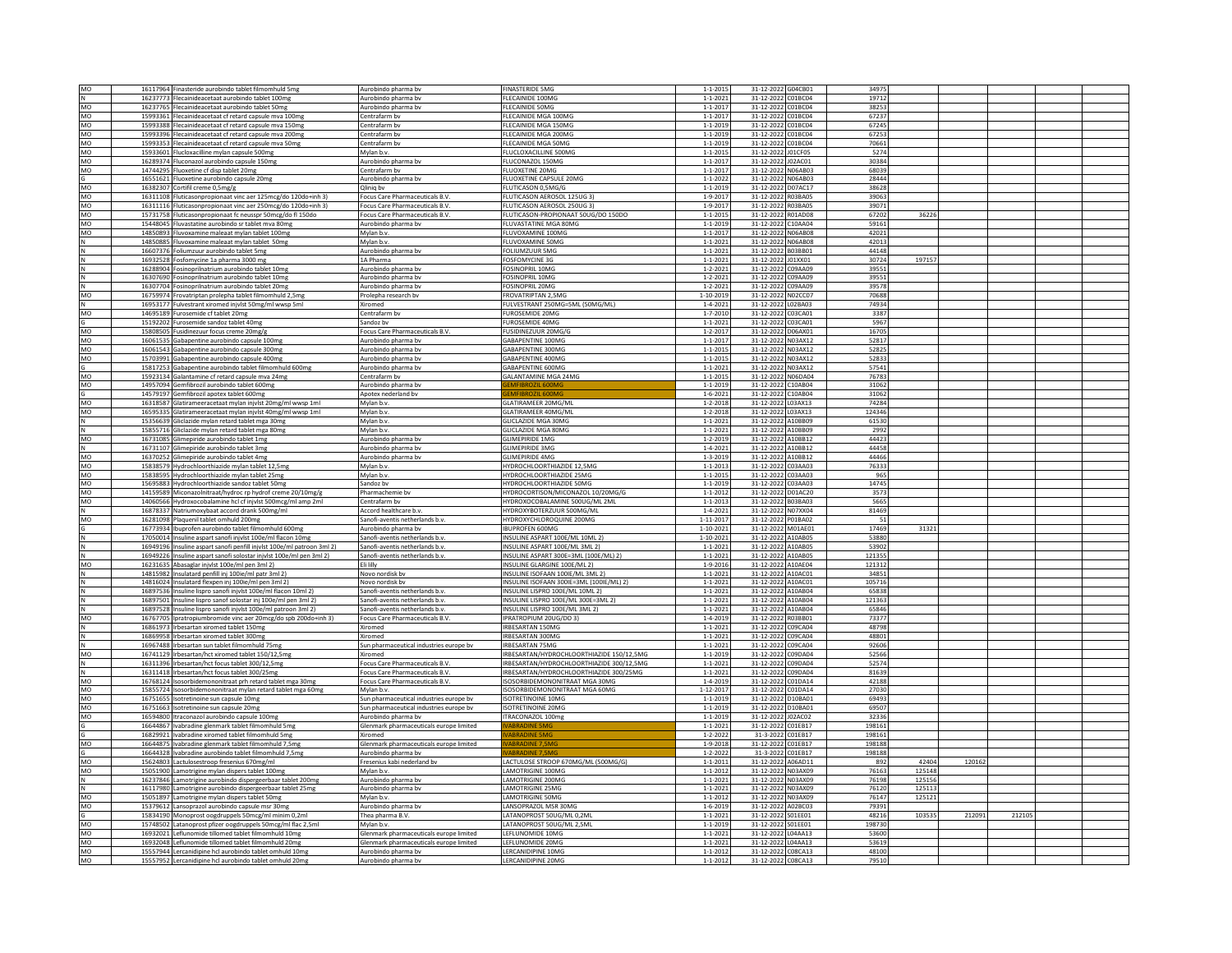| MO              | 16117964 Finasteride aurobindo tablet filmomhuld 5mg                                                               | Aurobindo pharma by                        | <b>FINASTERIDE 5MG</b>                                  | $1 - 1 - 2015$                   | 31-12-2022 G04CB01                       | 34975          |                  |       |  |
|-----------------|--------------------------------------------------------------------------------------------------------------------|--------------------------------------------|---------------------------------------------------------|----------------------------------|------------------------------------------|----------------|------------------|-------|--|
| N               | 16237773 Flecainideacetaat aurobindo tablet 100mg                                                                  | Aurobindo pharma by                        | FLECAINIDE 100MG                                        | $1 - 1 - 202$                    | 31-12-2022 C01BC04                       | 19712          |                  |       |  |
| MO              | 16237765 Flecainideacetaat aurobindo tablet 50mg                                                                   | Aurobindo pharma bv                        | <b>FLECAINIDE 50MG</b>                                  | $1 - 1 - 201$                    | 31-12-2022 C01BC04                       | 38253          |                  |       |  |
|                 |                                                                                                                    |                                            |                                                         |                                  |                                          |                |                  |       |  |
| MO              | 15993361 Flecainideacetaat cf retard capsule mva 100mg                                                             | Centrafarm bv                              | FLECAINIDE MGA 100MG                                    | $1 - 1 - 201$                    | 31-12-2022 C01BC04                       | 67237          |                  |       |  |
| MO              | 15993388 Flecainideacetaat cf retard capsule mva 150mg                                                             | Centrafarm by                              | FLECAINIDE MGA 150MG                                    | $1 - 1 - 2019$                   | 31-12-2022 C01BC04                       | 67245          |                  |       |  |
| <b>MO</b>       | 15993396 Flecainideacetaat cf retard capsule mva 200mg                                                             | Centrafarm by                              | <b>FLECAINIDE MGA 200MG</b>                             | $1 - 1 - 2019$                   | 31-12-2022 C01BC04                       | 67253          |                  |       |  |
| MO              | 15993353 Flecainideacetaat cf retard capsule mva 50mg                                                              | Centrafarm bv                              | FLECAINIDE MGA 50MG                                     | $1 - 1 - 2019$                   | 31-12-2022 C01BC04                       | 70661          |                  |       |  |
|                 |                                                                                                                    |                                            |                                                         |                                  |                                          | 5274           |                  |       |  |
| MO              | 15933601 Flucloxacilline mylan capsule 500mg                                                                       | Mylan b.v.                                 | FLUCLOXACILLINE 500MG                                   | $1 - 1 - 2015$                   | 31-12-2022 J01CF05                       |                |                  |       |  |
| MO              | 16289374 Fluconazol aurobindo capsule 150mg                                                                        | Aurobindo pharma bv                        | FLUCONAZOL 150MG                                        | $1 - 1 - 201$                    | 31-12-2022 J02AC01                       | 30384          |                  |       |  |
| MO              | 14744295 Fluoxetine cf disp tablet 20mg                                                                            | Centrafarm by                              | <b>FLUOXETINE 20MG</b>                                  | $1 - 1 - 201$                    | 31-12-2022 N06AB03                       | 68039          |                  |       |  |
|                 |                                                                                                                    | Aurobindo pharma by                        |                                                         |                                  |                                          | 28444          |                  |       |  |
|                 | 16551621 Fluoxetine aurobindo capsule 20mg                                                                         |                                            | FLUOXETINE CAPSULE 20MG                                 | $1 - 1 - 2022$                   | 31-12-2022 N06AB03                       |                |                  |       |  |
| MO              | 16382307 Cortifil creme 0,5mg/g                                                                                    | Qlinig by                                  | FLUTICASON 0,5MG/G                                      | $1 - 1 - 2019$                   | 31-12-2022 D07AC17                       | 38628          |                  |       |  |
| MO              | 16311108 Fluticasonpropionaat vinc aer 125mcg/do 120do+inh 3)                                                      | Focus Care Pharmaceuticals B.V.            | FLUTICASON AEROSOL 125UG 3)                             | $1 - 9 - 2017$                   | 31-12-2022 R03BA05                       | 39063          |                  |       |  |
| MO              | 16311116 Fluticasonpropionaat vinc aer 250mcg/do 120do+inh 3)                                                      | Focus Care Pharmaceuticals B.V             | FLUTICASON AEROSOL 250UG 3)                             | $1 - 9 - 201$                    | 31-12-2022 R03BA05                       | 3907           |                  |       |  |
|                 |                                                                                                                    |                                            |                                                         |                                  |                                          |                | 36226            |       |  |
| <b>MO</b>       | 15731758 Fluticasonpropionaat fc neusspr 50mcg/do fl 150do                                                         | Focus Care Pharmaceuticals B.V             | FLUTICASON-PROPIONAAT 50UG/DO 150DO                     | $1 - 1 - 201$                    | 31-12-2022 R01AD08                       | 67202          |                  |       |  |
| MO              | 15448045 Fluvastatine aurobindo sr tablet mva 80mg                                                                 | Aurobindo pharma bv                        | FLUVASTATINE MGA 80MG                                   | $1 - 1 - 2019$                   | 31-12-2022 C10AA04                       | 59161          |                  |       |  |
| <b>MO</b>       | 14850893 Fluvoxamine maleaat mylan tablet 100ms                                                                    | Mylan b.v.                                 | FLUVOXAMINE 100MG                                       | $1 - 1 - 201$                    | 31-12-2022 N06AB08                       | 42021          |                  |       |  |
|                 | 14850885 Fluvoxamine maleaat mylan tablet 50mg                                                                     | Mylan b.v.                                 | FLUVOXAMINE 50MG                                        | $1 - 1 - 202$                    | 31-12-2022 N06AB08                       | 42013          |                  |       |  |
|                 |                                                                                                                    |                                            |                                                         |                                  |                                          |                |                  |       |  |
| N               | 16607376 Foliumzuur aurobindo tablet 5mg                                                                           | Aurobindo pharma bv                        | FOLIUMZUUR 5MG                                          | $1 - 1 - 2021$                   | 31-12-2022 B03BB01                       | 44148          |                  |       |  |
|                 | 16932528 Fosfomycine 1a pharma 3000 mg                                                                             | 1A Pharma                                  | <b>FOSFOMYCINE 3G</b>                                   | $1 - 1 - 2021$                   | 31-12-2022 J01XX01                       | 30724          | 197157           |       |  |
|                 | 16288904 Fosinoprilnatrium aurobindo tablet 10mg                                                                   | Aurobindo pharma by                        | <b>FOSINOPRIL 10MG</b>                                  | $1 - 2 - 2021$                   | 31-12-2022 C09AA09                       | 39551          |                  |       |  |
| N               |                                                                                                                    | Aurobindo pharma by                        | <b>FOSINOPRIL 10MG</b>                                  | $1 - 2 - 2021$                   | 31-12-2022 C09AA09                       | 39551          |                  |       |  |
|                 | 16307690 Fosinoprilnatrium aurobindo tablet 10mg                                                                   |                                            |                                                         |                                  |                                          |                |                  |       |  |
| N               | 16307704 Fosinoprilnatrium aurobindo tablet 20mg                                                                   | Aurobindo pharma bv                        | FOSINOPRIL 20MG                                         | $1 - 2 - 2021$                   | 31-12-2022 C09AA09                       | 39578          |                  |       |  |
| MO              | 16759974 Frovatriptan prolepha tablet filmomhuld 2,5mg                                                             | Prolepha research by                       | <b>FROVATRIPTAN 2.5MG</b>                               | $1 - 10 - 201$                   | 31-12-2022 N02CC07                       | 70688          |                  |       |  |
| N               | 16953177 Fulvestrant xiromed injvlst 50mg/ml wwsp 5ml                                                              | Xiromed                                    | FULVESTRANT 250MG=5ML (50MG/ML)                         | $1 - 4 - 202$                    | 31-12-2022 L02BA03                       | 74934          |                  |       |  |
|                 |                                                                                                                    | Centrafarm by                              | <b>FUROSEMIDE 20MG</b>                                  | $1 - 7 - 2010$                   |                                          | 3387           |                  |       |  |
| MO              | 14695189 Furosemide cf tablet 20mg                                                                                 |                                            |                                                         |                                  | 31-12-2022 C03CA01                       |                |                  |       |  |
| G               | 15192202 Furosemide sandoz tablet 40mg                                                                             | Sandoz by                                  | <b>FUROSEMIDE 40MG</b>                                  | $1 - 1 - 2021$                   | 31-12-2022 C03CA01                       | 5967           |                  |       |  |
| MO              | 15808505 Fusidinezuur focus creme 20mg/g                                                                           | Focus Care Pharmaceuticals B.V             | FUSIDINEZUUR 20MG/                                      | $1 - 2 - 201$                    | 31-12-2022 D06AX01                       | 16705          |                  |       |  |
| <b>MO</b>       |                                                                                                                    | Aurobindo pharma by                        | GARAPENTINE 100MG                                       | $1 - 1 - 2017$                   | 31-12-2022 N03AX12                       | 52817          |                  |       |  |
|                 | 16061535 Gabapentine aurobindo capsule 100mg                                                                       |                                            |                                                         |                                  |                                          |                |                  |       |  |
| MO              | 16061543 Gabapentine aurobindo capsule 300mg                                                                       | Aurobindo pharma bv                        | GABAPENTINE 300MG                                       | $1 - 1 - 201$                    | 31-12-2022 N03AX12                       | 52825          |                  |       |  |
| MO              | 15703991 Gabapentine aurobindo capsule 400mg                                                                       | Aurobindo pharma bv                        | GABAPENTINE 400MG                                       | $1 - 1 - 201$                    | 31-12-2022 N03AX12                       | 52833          |                  |       |  |
|                 | 15817253 Gabapentine aurobindo tablet filmomhuld 600mg                                                             | Aurobindo pharma bv                        | <b>GABAPENTINE 600MG</b>                                | $1 - 1 - 2021$                   | 31-12-2022 N03AX12                       | 57541          |                  |       |  |
|                 |                                                                                                                    |                                            |                                                         |                                  |                                          |                |                  |       |  |
| MO              | 15923134 Galantamine cf retard capsule mva 24mg                                                                    | Centrafarm by                              | GALANTAMINE MGA 24MG                                    | $1 - 1 - 2015$                   | 31-12-2022 N06DA04                       | 76783          |                  |       |  |
| MO              | 14957094 Gemfibrozil aurobindo tablet 600mg                                                                        | Aurobindo pharma bv                        |                                                         | $1 - 1 - 2019$                   | 31-12-2022 C10AB04                       | 31062          |                  |       |  |
|                 | 14579197 Gemfibrozil apotex tablet 600mg                                                                           | Apotex nederland by                        |                                                         | $1 - 6 - 202$                    | 31-12-2022 C10AB04                       | 31062          |                  |       |  |
| MO              |                                                                                                                    |                                            | <b>GLATIRAMEER 20MG/ML</b>                              | $1 - 2 - 2018$                   | 31-12-2022 L03AX13                       | 74284          |                  |       |  |
|                 | 16318587 Glatirameeracetaat mylan injvlst 20mg/ml wwsp 1ml                                                         | Mylan b.v.                                 |                                                         |                                  |                                          |                |                  |       |  |
| MO              | 16595335 Glatirameeracetaat mylan injvlst 40mg/ml wwsp 1ml                                                         | Mylan b.v.                                 | GLATIRAMEER 40MG/MI                                     | $1 - 2 - 2018$                   | 31-12-2022 L03AX13                       | 124346         |                  |       |  |
|                 | 15356639 Gliclazide mylan retard tablet mga 30mg                                                                   | Mylan b.v.                                 | GLICLAZIDE MGA 30MG                                     | $1 - 1 - 202$                    | 31-12-2022 A10BB09                       | 61530          |                  |       |  |
| N               | 15855716 Gliclazide mylan retard tablet mga 80mg                                                                   | Mylan b.v.                                 | <b>GLICLAZIDE MGA 80MG</b>                              | $1 - 1 - 202$                    | 31-12-2022 A10BB09                       | 2992           |                  |       |  |
|                 |                                                                                                                    |                                            |                                                         |                                  |                                          |                |                  |       |  |
| MO              | 16731085 Glimepiride aurobindo tablet 1mg                                                                          | Aurobindo pharma bv                        | <b>GLIMEPIRIDE 1MG</b>                                  | $1 - 2 - 2019$                   | 31-12-2022 A10BB12                       | 44423          |                  |       |  |
| N               | 16731107 Glimepiride aurobindo tablet 3mg                                                                          | Aurobindo pharma by                        | <b>GLIMEPIRIDE 3MG</b>                                  | $1 - 4 - 2021$                   | 31-12-2022 A10BB12                       | 44458          |                  |       |  |
| MO              | 16370252 Glimepiride aurobindo tablet 4mg                                                                          | Aurobindo pharma by                        | <b>GLIMEPIRIDE 4MG</b>                                  | $1 - 3 - 201$                    | 31-12-2022 A10BB12                       | 44466          |                  |       |  |
| MO              |                                                                                                                    | Mylan b.y                                  | HYDROCHLOORTHIAZIDE 12.5MG                              | $1 - 1 - 201$                    | 31-12-2022 C03AA03                       | 76333          |                  |       |  |
|                 | 15838579 Hydrochloorthiazide mylan tablet 12,5mg                                                                   |                                            |                                                         |                                  |                                          |                |                  |       |  |
| MO              | 15838595 Hydrochloorthiazide mylan tablet 25mg                                                                     | Mylan b.v                                  | HYDROCHLOORTHIAZIDE 25MG                                | $1 - 1 - 2015$                   | 31-12-2022 C03AA03                       | 965            |                  |       |  |
| MO              | 15695883 Hydrochloorthiazide sandoz tablet 50mg                                                                    | Sandoz bv                                  | HYDROCHLOORTHIAZIDE 50MG                                | $1 - 1 - 2019$                   | 31-12-2022 C03AA03                       | 14745          |                  |       |  |
| MO              | 14159589 Miconazolnitraat/hydroc rp hydrof creme 20/10mg/g                                                         | Pharmachemie bv                            | HYDROCORTISON/MICONAZOL 10/20MG/G                       | $1 - 1 - 2012$                   | 31-12-2022 D01AC20                       | 3573           |                  |       |  |
| MO              |                                                                                                                    | Centrafarm by                              | HYDROXOCOBALAMINE 500UG/ML 2ML                          | $1 - 1 - 2013$                   | 31-12-2022 B03BA03                       | 5665           |                  |       |  |
|                 | 14060566 Hydroxocobalamine hcl cf injvlst 500mcg/ml amp 2ml                                                        |                                            |                                                         |                                  |                                          |                |                  |       |  |
| N               | 16878337 Natriumoxybaat accord drank 500mg/ml                                                                      | Accord healthcare b.v.                     | HYDROXYBOTERZUUR 500MG/ML                               | $1 - 4 - 202$                    | 31-12-2022 N07XX04                       | 81469          |                  |       |  |
| MO              | 16281098 Plaquenil tablet omhuld 200mg                                                                             | Sanofi-aventis netherlands b.v.            | HYDROXYCHLOROQUINE 200MG                                | $1 - 11 - 201$                   | 31-12-2022 P01BA02                       | 51             |                  |       |  |
|                 | 16773934 Ibuprofen aurobindo tablet filmomhuld 600mg                                                               | Aurobindo pharma bv                        | <b>IBUPROFEN 600MG</b>                                  | $1 - 10 - 2021$                  | 31-12-2022 M01AE01                       | 17469          | 31321            |       |  |
|                 |                                                                                                                    |                                            |                                                         |                                  |                                          |                |                  |       |  |
|                 | 17050014 Insuline aspart sanofi injvlst 100e/ml flacon 10mg                                                        | Sanofi-aventis netherlands b.v.            | INSULINE ASPART 100E/ML 10ML 2)                         | $1 - 10 - 202$                   | 31-12-2022 A10AB05                       | 53880          |                  |       |  |
|                 | 16949196 Insuline aspart sanofi penfill injvlst 100e/ml patroon 3ml 2)                                             | Sanofi-aventis netherlands b.v.            | INSULINE ASPART 100E/ML 3ML 2)                          | $1 - 1 - 202$                    | 31-12-2022 A10AB05                       | 53902          |                  |       |  |
| N               | 16949226 Insuline aspart sanofi solostar injvlst 100e/ml pen 3ml 2)                                                | Sanofi-aventis netherlands b.v.            | INSULINE ASPART 300E=3ML (100E/ML) 2)                   | $1 - 1 - 2021$                   | 31-12-2022 A10AB05                       | 121355         |                  |       |  |
| MO              |                                                                                                                    | Eli lilly                                  | INSULINE GLARGINE 100E/ML 2)                            |                                  |                                          |                |                  |       |  |
|                 |                                                                                                                    |                                            |                                                         |                                  |                                          |                |                  |       |  |
|                 | 16231635 Abasaglar injvlst 100e/ml pen 3ml 2)                                                                      |                                            |                                                         | $1 - 9 - 2016$                   | 31-12-2022 A10AE04                       | 121312         |                  |       |  |
| N               | 14815982 Insulatard penfill inj 100ie/ml patr 3ml 2)                                                               | Novo nordisk by                            | INSULINE ISOFAAN 100IE/ML 3ML 2)                        | $1 - 1 - 2021$                   | 31-12-2022 A10AC01                       | 34851          |                  |       |  |
|                 | 14816024 Insulatard flexpen inj 100ie/ml pen 3ml 2                                                                 | Novo nordisk by                            | INSULINE ISOFAAN 300IE=3ML (100IE/ML) 2)                | $1 - 1 - 202$                    | 31-12-2022 A10AC01                       | 105716         |                  |       |  |
|                 |                                                                                                                    |                                            |                                                         |                                  |                                          |                |                  |       |  |
|                 | 16897536 Insuline lispro sanofi injvlst 100e/ml flacon 10ml 2)                                                     | Sanofi-aventis netherlands b.v.            | INSULINE LISPRO 100E/ML 10ML 2)                         | $1 - 1 - 2021$                   | 31-12-2022 A10AB04                       | 65838          |                  |       |  |
| N               | 16897501 Insuline lispro sanof solostar inj 100e/ml pen 3ml 2)                                                     | Sanofi-aventis netherlands b.v.            | INSULINE LISPRO 100E/ML 300E=3ML 2)                     | $1 - 1 - 2021$                   | 31-12-2022 A10AB04                       | 121363         |                  |       |  |
|                 | 16897528 Insuline lispro sanofi inivist 100e/ml patroon 3ml 2)                                                     | Sanofi-aventis netherlands b.v.            | INSULINE LISPRO 100E/ML 3ML 2)                          | $1 - 1 - 202$                    | 31-12-2022 A10AB04                       | 65846          |                  |       |  |
| MO              | 16767705 Ipratropiumbromide vinc aer 20mcg/do spb 200do+inh 3)                                                     | Focus Care Pharmaceuticals B.V.            | IPRATROPIUM 20UG/DO 3)                                  | $1 - 4 - 2019$                   | 31-12-2022 R03BB01                       | 73377          |                  |       |  |
| N               |                                                                                                                    | Xiromed                                    |                                                         | $1 - 1 - 2021$                   | 31-12-2022 C09CA04                       | 48798          |                  |       |  |
|                 | 16861973 Irbesartan xiromed tablet 150mg                                                                           |                                            | IRBESARTAN 150MG                                        |                                  |                                          |                |                  |       |  |
|                 | 16869958 Irbesartan xiromed tablet 300mg                                                                           | Xiromed                                    | IRRESARTAN 300MG                                        | $1 - 1 - 202$                    | 31-12-2022 C09CA04                       | 48801          |                  |       |  |
|                 | 16967488 Irbesartan sun tablet filmomhuld 75mg                                                                     | Sun pharmaceutical industries europe bv    | IRBESARTAN 75MG                                         | $1 - 1 - 202$                    | 31-12-2022 C09CA04                       | 92606          |                  |       |  |
| MO              | 16741129 Irbesartan/hct xiromed tablet 150/12,5mg                                                                  | Xiromed                                    | IRBESARTAN/HYDROCHLOORTHIAZIDE 150/12,5MG               | $1 - 1 - 2019$                   | 31-12-2022 C09DA04                       | 52566          |                  |       |  |
|                 |                                                                                                                    |                                            |                                                         |                                  |                                          | 52574          |                  |       |  |
| N               | 16311396 Irbesartan/hct focus tablet 300/12,5mg                                                                    | Focus Care Pharmaceuticals B.V.            | IRBESARTAN/HYDROCHLOORTHIAZIDE 300/12,5MG               | $1 - 1 - 2021$                   | 31-12-2022 C09DA04                       |                |                  |       |  |
|                 | 16311418   Irbesartan/hct focus tablet 300/25mg                                                                    | Focus Care Pharmaceuticals B.V.            | IRBESARTAN/HYDROCHLOORTHIAZIDE 300/25MG                 | $1 - 1 - 202$                    | 31-12-2022 C09DA04                       | 81639          |                  |       |  |
| MO              | 16768124 Isosorbidemononitraat prh retard tablet mga 30mg                                                          | Focus Care Pharmaceuticals B.V.            | ISOSORBIDEMONONITRAAT MGA 30MG                          | $1 - 4 - 2019$                   | 31-12-2022 C01DA14                       | 42188          |                  |       |  |
| MO              | 15855724 Isosorbidemononitraat mylan retard tablet mga 60mg                                                        | Mylan b.v.                                 | ISOSORBIDEMONONITRAAT MGA 60MG                          | $1 - 12 - 201$                   | 31-12-2022 C01DA14                       | 27030          |                  |       |  |
| MO              | 16751655 Isotretinoine sun capsule 10mg                                                                            | Sun pharmaceutical industries europe by    | <b>ISOTRETINOINE 10MG</b>                               | $1 - 1 - 2019$                   | 31-12-2022 D10BA01                       | 69493          |                  |       |  |
|                 |                                                                                                                    |                                            |                                                         |                                  |                                          |                |                  |       |  |
| MO              | 16751663 Isotretinoine sun capsule 20mg                                                                            | Sun pharmaceutical industries europe by    | <b>ISOTRETINOINE 20MG</b>                               | $1 - 1 - 201$                    | 31-12-2022 D10BA01                       | 69507          |                  |       |  |
| <b>MO</b>       | 16594800 Itraconazol aurobindo capsule 100mg                                                                       | Aurobindo pharma by                        | ITRACONAZOL 100mg                                       | $1 - 1 - 2019$                   | 31-12-2022 J02AC02                       | 32336          |                  |       |  |
|                 | 16644867 Ivabradine glenmark tablet filmomhuld 5mg                                                                 | Glenmark pharmaceuticals europe limited    | <b>JABRADINE 5MC</b>                                    | $1 - 1 - 2021$                   | 31-12-2022 CO1EB17                       | 198161         |                  |       |  |
|                 |                                                                                                                    |                                            |                                                         |                                  |                                          |                |                  |       |  |
|                 | 16829921 Ivabradine xiromed tablet filmomhuld 5mg                                                                  | Xiromed                                    |                                                         | $1 - 2 - 202$                    | 31-3-2022 CO1EB17                        | 198161         |                  |       |  |
| MO              | 16644875 Ivabradine glenmark tablet filmomhuld 7,5mg                                                               | Glenmark pharmaceuticals europe limited    | <b>ABRADINE 7.5MG</b>                                   | $1 - 9 - 2018$                   | 31-12-2022 C01EB17                       | 198188         |                  |       |  |
|                 | 16644328   Ivabradine aurobindo tablet filmomhuld 7,5mg                                                            | Aurobindo pharma bv                        | ABRADINE 7,5MG                                          | $1 - 2 - 202$                    | 31-3-2022 C01EB17                        | 198188         |                  |       |  |
| <b>MO</b>       |                                                                                                                    | Fresenius kabi nederland bv                | LACTULOSE STROOP 670MG/ML (500MG/G)                     | $1 - 1 - 201$                    | 31-12-2022 A06AD11                       | 892            | 42404<br>120162  |       |  |
|                 | 15624803 Lactulosestroop fresenius 670mg/ml                                                                        |                                            |                                                         |                                  |                                          |                |                  |       |  |
| MO              | 15051900 Lamotrigine mylan dispers tablet 100mg                                                                    | Mylan b.v.                                 | LAMOTRIGINE 100MG                                       | $1 - 1 - 201$                    | 31-12-2022 N03AX09                       | 76163          | 125148           |       |  |
| $\hbox{N}$      | 16237846 Lamotrigine aurobindo dispergeerbaar tablet 200mg                                                         | Aurobindo pharma by                        | <b>LAMOTRIGINE 200MG</b>                                | $1 - 1 - 2021$                   | 31-12-2022 N03AX09                       | 76198          | 125156           |       |  |
| N               | 16117980 Lamotrigine aurobindo dispergeerbaar tablet 25mg                                                          | Aurobindo pharma bv                        | <b>LAMOTRIGINE 25MG</b>                                 | $1 - 1 - 2021$                   | 31-12-2022 N03AX09                       | 76120          | 125113           |       |  |
|                 |                                                                                                                    | Mylan b.v.                                 | <b>LAMOTRIGINE 50MG</b>                                 | $1 - 1 - 201$                    | 31-12-2022 N03AX09                       | 76147          | 125121           |       |  |
| MO              | 15051897 Lamotrigine mylan dispers tablet 50mg                                                                     |                                            |                                                         |                                  |                                          |                |                  |       |  |
| MO              | 15379612 Lansoprazol aurobindo capsule msr 30mg                                                                    | Aurobindo pharma bv                        | LANSOPRAZOL MSR 30MG                                    | $1 - 6 - 2019$                   | 31-12-2022 A02BC03                       | 79391          |                  |       |  |
|                 | 15834190 Monoprost oogdruppels 50mcg/ml minim 0,2ml                                                                | Thea pharma B.V.                           | LATANOPROST 50UG/ML 0,2ML                               | $1 - 1 - 202$                    | 31-12-2022 SO1EE01                       | 48216          | 212091<br>103535 | 21210 |  |
| MO              | 15748502 Latanoprost pfizer oogdruppels 50mcg/ml flac 2,5ml                                                        | Mylan b.v.                                 | ATANOPROST 50UG/ML 2.5ML                                | $1 - 1 - 201$                    | 31-12-2022 S01EE01                       | 198730         |                  |       |  |
|                 |                                                                                                                    |                                            |                                                         |                                  |                                          |                |                  |       |  |
| MO              | 16932021 Leflunomide tillomed tablet filmomhuld 10mg                                                               | Glenmark pharmaceuticals europe limited    | LEFLUNOMIDE 10MG                                        | $1 - 1 - 202$                    | 31-12-2022 L04AA13                       | 53600          |                  |       |  |
| MO              | 16932048 Leflunomide tillomed tablet filmomhuld 20mg                                                               | Glenmark pharmaceuticals europe limited    | LEFLUNOMIDE 20MG                                        | $1 - 1 - 2021$                   | 31-12-2022 L04AA13                       | 53619          |                  |       |  |
| <b>MO</b><br>MO | 15557944 Lercanidipine hcl aurobindo tablet omhuld 10mg<br>15557952 Lercanidipine hcl aurobindo tablet omhuld 20mg | Aurobindo pharma by<br>Aurobindo pharma by | <b>I FRCANIDIPINE 10MG</b><br><b>LERCANIDIPINE 20MG</b> | $1 - 1 - 2012$<br>$1 - 1 - 2012$ | 31-12-2022 CORCA13<br>31-12-2022 C08CA13 | 48100<br>79510 |                  |       |  |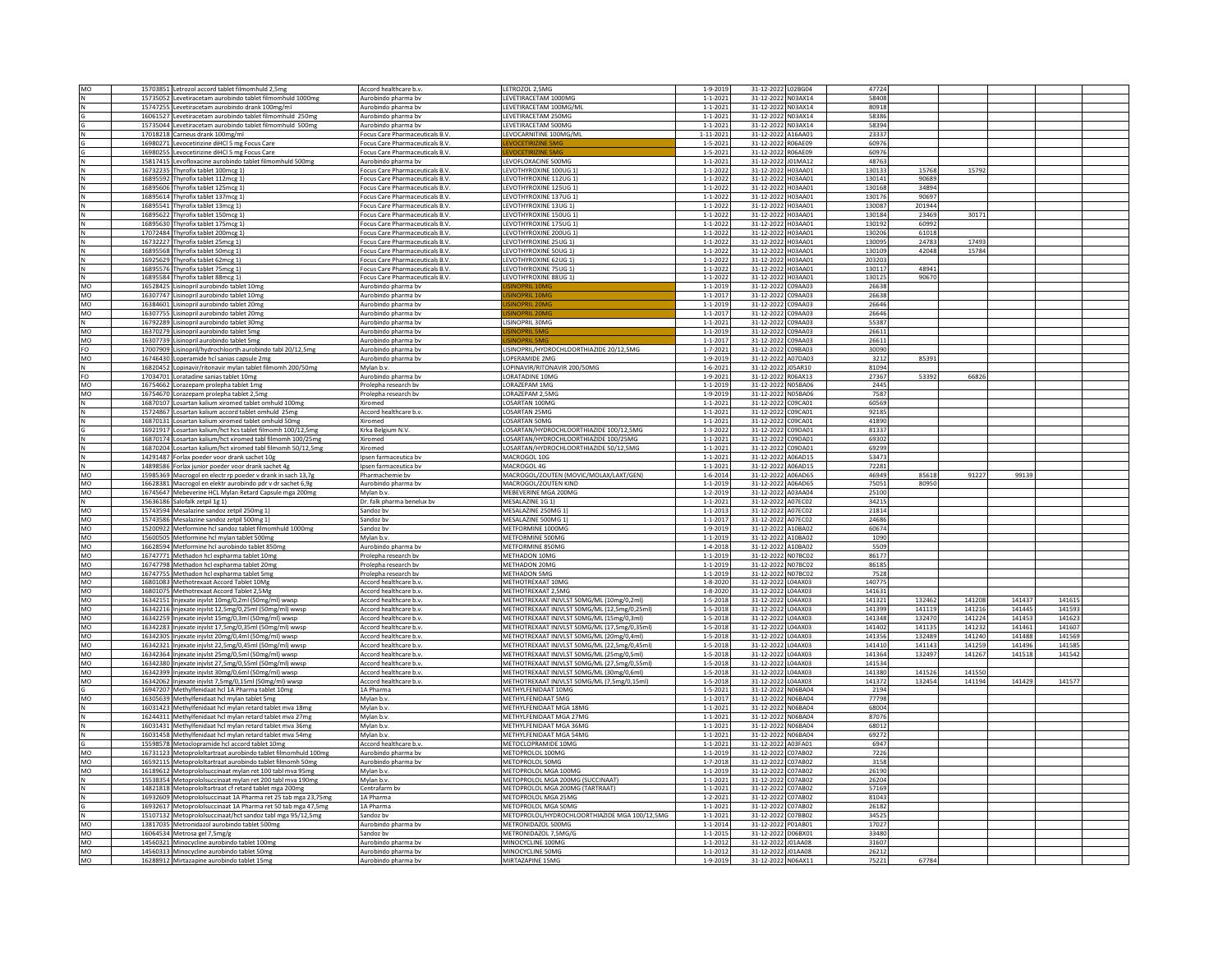|             | 15703851 Letrozol accord tablet filmomhuld 2,5mg              | Accord healthcare b.v           | LETROZOL 2,5MG                                | 1-9-2019       | 31-12-2022 L02BG04 | 47724  |        |        |        |        |  |
|-------------|---------------------------------------------------------------|---------------------------------|-----------------------------------------------|----------------|--------------------|--------|--------|--------|--------|--------|--|
|             | 15735052 Levetiracetam aurobindo tablet filmomhuld 1000mg     | Aurobindo pharma by             | EVETIRACETAM 1000MG                           | $1 - 1 - 2021$ | 31-12-2022 N03AX14 | 58408  |        |        |        |        |  |
|             | 15747255 Levetiracetam aurobindo drank 100mg/ml               | Aurobindo pharma bv             | LEVETIRACETAM 100MG/ML                        | $1 - 1 - 2021$ | 31-12-2022 N03AX14 | 80918  |        |        |        |        |  |
|             | 16061527 Levetiracetam aurobindo tablet filmomhuld 250mg      |                                 | EVETIRACETAM 250MG                            | $1 - 1 - 2021$ | 31-12-2022 N03AX14 | 58386  |        |        |        |        |  |
|             |                                                               | Aurobindo pharma bv             | <b>FVETIRACETAM 500MG</b>                     |                |                    | 58394  |        |        |        |        |  |
|             | 15735044 Levetiracetam aurobindo tablet filmomhuld 500mg      | Aurobindo pharma bv             |                                               | $1 - 1 - 2021$ | 31-12-2022 N03AX14 |        |        |        |        |        |  |
|             | 17018218 Carneus drank 100mg/ml                               | Focus Care Pharmaceuticals B.V. | EVOCARNITINE 100MG/ML                         | 1-11-2021      | 31-12-2022 A16AA01 | 23337  |        |        |        |        |  |
|             | 16980271 Levocetirizine diHCl 5 mg Focus Care                 | Focus Care Pharmaceuticals B.V  |                                               | $1 - 5 - 2021$ | 31-12-2022 R06AE09 | 60976  |        |        |        |        |  |
|             | 16980255 Levocetirizine diHCl 5 mg Focus Care                 | Focus Care Pharmaceuticals B.V. |                                               | $1 - 5 - 2021$ | 31-12-2022 R06AE09 | 60976  |        |        |        |        |  |
|             | 15817415 Levofloxacine aurobindo tablet filmomhuld 500mg      | Aurobindo pharma bv             | LEVOFLOXACINE 500MG                           | $1 - 1 - 2021$ | 31-12-2022 J01MA12 | 48763  |        |        |        |        |  |
|             | 16732235 Thyrofix tablet 100mcg 1)                            | Focus Care Pharmaceuticals B.V. | LEVOTHYROXINE 100UG 1)                        | $1 - 1 - 2022$ | 31-12-2022 H03AA01 | 130133 | 15768  | 15792  |        |        |  |
|             | 16895592 Thyrofix tablet 112mcg 1)                            | Focus Care Pharmaceuticals B.V. | EVOTHYROXINE 112UG 1                          | $1 - 1 - 2022$ | 31-12-2022 H03AA01 | 130141 | 90689  |        |        |        |  |
|             | 16895606 Thyrofix tablet 125mcg 1                             |                                 | LEVOTHYROXINE 125UG 1)                        | $1 - 1 - 2022$ | 31-12-2022 H03AA01 | 130168 | 34894  |        |        |        |  |
|             |                                                               | Focus Care Pharmaceuticals B.V. |                                               |                |                    |        |        |        |        |        |  |
|             | 16895614 Thyrofix tablet 137mcg 1                             | Focus Care Pharmaceuticals B.V. | EVOTHYROXINE 137UG 1                          | $1 - 1 - 2022$ | 31-12-2022 H03AA01 | 130176 | 90697  |        |        |        |  |
|             | 16895541 Thyrofix tablet 13mcg 1)                             | Focus Care Pharmaceuticals B.V. | EVOTHYROXINE 13UG 1)                          | $1 - 1 - 2022$ | 31-12-2022 H03AA01 | 130087 | 201944 |        |        |        |  |
|             | 16895622 Thyrofix tablet 150mcg 1                             | Focus Care Pharmaceuticals B.V  | EVOTHYROXINE 150UG 1                          | $1 - 1 - 202$  | 31-12-2022 H03AA01 | 130184 | 23469  | 30171  |        |        |  |
|             | 16895630 Thyrofix tablet 175mcg 1                             | Focus Care Pharmaceuticals B.V. | LEVOTHYROXINE 175UG 1)                        | $1 - 1 - 2022$ | 31-12-2022 H03AA01 | 130192 | 60992  |        |        |        |  |
|             | 17072484 Thyrofix tablet 200mcg 1                             | Focus Care Pharmaceuticals B.V. | <b>FVOTHYROXINE 200UG 1)</b>                  | $1 - 1 - 2022$ | 31-12-2022 H03AA01 | 130206 | 61018  |        |        |        |  |
|             | 16732227 Thyrofix tablet 25mcg 1)                             | Focus Care Pharmaceuticals B.V. | EVOTHYROXINE 25UG 1)                          | $1 - 1 - 2022$ | 31-12-2022 H03AA01 | 130095 | 24783  | 1749   |        |        |  |
|             |                                                               |                                 | LEVOTHYROXINE 50UG 1)                         |                | 31-12-2022 H03AA01 | 130109 | 42048  | 15784  |        |        |  |
|             | 16895568 Thyrofix tablet 50mcg 1)                             | Focus Care Pharmaceuticals B.V. |                                               | $1 - 1 - 2022$ |                    |        |        |        |        |        |  |
|             | 16925629 Thyrofix tablet 62mcg 1                              | Focus Care Pharmaceuticals B.V. | EVOTHYROXINE 62UG 1)                          | $1 - 1 - 2022$ | 31-12-2022 H03AA01 | 203203 |        |        |        |        |  |
|             | 16895576 Thyrofix tablet 75mcg 1)                             | Focus Care Pharmaceuticals B.V. | EVOTHYROXINE 75UG 1                           | $1 - 1 - 2022$ | 31-12-2022 H03AA01 | 130117 | 48941  |        |        |        |  |
| IN.         | 16895584 Thyrofix tablet 88mcg 1)                             | Focus Care Pharmaceuticals B.V. | LEVOTHYROXINE 88UG 1)                         | $1 - 1 - 2022$ | 31-12-2022 H03AA01 | 130125 | 90670  |        |        |        |  |
| MO          | 16528425 Lisinopril aurobindo tablet 10mg                     | Aurobindo pharma bv             |                                               | $1 - 1 - 2019$ | 31-12-2022 C09AA03 | 26638  |        |        |        |        |  |
| MO          | 16307747 Lisinopril aurobindo tablet 10mg                     | Aurobindo pharma bv             | <b>INOPRIL 10MG</b>                           | $1 - 1 - 2017$ | 31-12-2022 C09AA03 | 26638  |        |        |        |        |  |
| MO          | 16384601 Lisinopril aurobindo tablet 20mg                     | Aurobindo pharma bv             |                                               | $1 - 1 - 2019$ | 31-12-2022 C09AA03 | 26646  |        |        |        |        |  |
| MO          | 16307755 Lisinopril aurobindo tablet 20mg                     | Aurobindo pharma bv             | <b>INOPRIL 20MC</b>                           | $1 - 1 - 2017$ | 31-12-2022 C09AA03 | 26646  |        |        |        |        |  |
|             |                                                               |                                 |                                               |                |                    |        |        |        |        |        |  |
| $\hbox{N}$  | 16792289 Lisinopril aurobindo tablet 30mg                     | Aurobindo pharma bv             | LISINOPRIL 30MG                               | $1 - 1 - 2021$ | 31-12-2022 C09AA03 | 55387  |        |        |        |        |  |
| MO          | 16370279 Lisinopril aurobindo tablet 5mg                      | Aurobindo pharma bv             |                                               | $1 - 1 - 2019$ | 31-12-2022 C09AA03 | 26611  |        |        |        |        |  |
| MO          | 16307739 Lisinopril aurobindo tablet 5mg                      | Aurobindo pharma by             |                                               | $1 - 1 - 201$  | 31-12-2022 C09AA03 | 26611  |        |        |        |        |  |
| FO          | 17007909 Lisinopril/hydrochloorth aurobindo tabl 20/12,5mg    | Aurobindo pharma bv             | LISINOPRIL/HYDROCHLOORTHIAZIDE 20/12,5MG      | $1 - 7 - 2021$ | 31-12-2022 C09BA03 | 30090  |        |        |        |        |  |
| MO          | 16746430 Loperamide hcl sanias capsule 2mg                    | Aurobindo pharma by             | <b>OPERAMIDE 2MG</b>                          | $1 - 9 - 2019$ | 31-12-2022 A07DA03 | 3212   | 85391  |        |        |        |  |
| N           | 16820452 Lopinavir/ritonavir mylan tablet filmomh 200/50mg    | Mylan b.v.                      | LOPINAVIR/RITONAVIR 200/50MG                  | $1 - 6 - 2021$ | 31-12-2022 J05AR10 | 81094  |        |        |        |        |  |
|             |                                                               |                                 |                                               |                | 31-12-2022 R06AX13 |        | 53392  | 66826  |        |        |  |
| FO          | 17034701 Loratadine sanias tablet 10mg                        | Aurobindo pharma bv             | LORATADINE 10MG                               | $1 - 9 - 2021$ |                    | 27367  |        |        |        |        |  |
| MO          | 16754662 Lorazepam prolepha tablet 1mg                        | Prolepha research bv            | ORAZEPAM 1MG                                  | $1 - 1 - 2019$ | 31-12-2022 N05BA06 | 2445   |        |        |        |        |  |
| MO          | 16754670 Lorazepam prolepha tablet 2,5mg                      | Prolepha research by            | ORAZEPAM 2,5MG                                | 1-9-2019       | 31-12-2022 N05BA06 | 7587   |        |        |        |        |  |
| N           | 16870107 Losartan kalium xiromed tablet omhuld 100mg          | Xiromed                         | LOSARTAN 100MG                                | $1 - 1 - 2021$ | 31-12-2022 C09CA01 | 60569  |        |        |        |        |  |
| N           | 15724867 Losartan kalium accord tablet omhuld 25mg            | Accord healthcare b.v.          | OSARTAN 25MG                                  | $1 - 1 - 2021$ | 31-12-2022 C09CA01 | 92185  |        |        |        |        |  |
| N           | 16870131 Losartan kalium xiromed tablet omhuld 50mg           | Xiromed                         | LOSARTAN 50MG                                 | $1 - 1 - 2021$ | 31-12-2022 C09CA01 | 41890  |        |        |        |        |  |
|             | 16921917 Losartan kalium/hct hcs tablet filmomh 100/12,5mg    | Krka Belgium N.V.               | LOSARTAN/HYDROCHLOORTHIAZIDE 100/12,5MG       | $1 - 3 - 2022$ | 31-12-2022 C09DA01 | 81337  |        |        |        |        |  |
|             |                                                               |                                 |                                               |                |                    | 69302  |        |        |        |        |  |
|             | 16870174 Losartan kalium/hct xiromed tabl filmomh 100/25mg    | Xiromed                         | LOSARTAN/HYDROCHLOORTHIAZIDE 100/25MG         | $1 - 1 - 2021$ | 31-12-2022 C09DA01 |        |        |        |        |        |  |
|             | 16870204 Losartan kalium/hct xiromed tabl filmomh 50/12,5mg   | Xiromed                         | LOSARTAN/HYDROCHLOORTHIAZIDE 50/12,5MG        | $1 - 1 - 2021$ | 31-12-2022 C09DA01 | 69299  |        |        |        |        |  |
|             | 14291487 Forlax poeder voor drank sachet 10g                  | psen farmaceutica bv            | MACROGOL 10G                                  | $1 - 1 - 2021$ | 31-12-2022 A06AD15 | 53473  |        |        |        |        |  |
| N           | 14898586 Forlax junior poeder voor drank sachet 4g            | Ipsen farmaceutica by           | MACROGOL 4G                                   | $1 - 1 - 2021$ | 31-12-2022 A06AD15 | 72281  |        |        |        |        |  |
| MO          | 15985369 Macrogol en electr rp poeder v drank in sach 13,7g   | Pharmachemie by                 | MACROGOL/ZOUTEN (MOVIC/MOLAX/LAXT/GEN)        | $1 - 6 - 2014$ | 31-12-2022 A06AD65 | 46949  | 85618  | 91227  | 99139  |        |  |
| MO          | 16628381 Macrogol en elektr aurobindo pdr v dr sachet 6,9g    | Aurobindo pharma bv             | MACROGOL/ZOUTEN KIND                          | $1 - 1 - 2019$ | 31-12-2022 A06AD65 | 75051  | 80950  |        |        |        |  |
|             | 16745647 Mebeverine HCL Mylan Retard Capsule mga 200mg        | Mylan b.v.                      | MEBEVERINE MGA 200MG                          | $1 - 2 - 2019$ | 31-12-2022 A03AA04 | 25100  |        |        |        |        |  |
|             |                                                               |                                 |                                               |                |                    |        |        |        |        |        |  |
| MO          |                                                               |                                 |                                               |                |                    |        |        |        |        |        |  |
| N           | 15636186 Salofalk zetpil 1g 1)                                | Dr. falk pharma benelux by      | MESALAZINE 1G 1)                              | $1 - 1 - 2021$ | 31-12-2022 A07EC02 | 34215  |        |        |        |        |  |
| MO          | 15743594 Mesalazine sandoz zetpil 250mg 1)                    | Sandoz bv                       | MESALAZINE 250MG 1                            | $1 - 1 - 201$  | 31-12-2022 A07EC02 | 21814  |        |        |        |        |  |
| MO          | 15743586 Mesalazine sandoz zetpil 500mg 1)                    | Sandoz by                       | MESALAZINE 500MG 1)                           | $1 - 1 - 2017$ | 31-12-2022 A07EC02 | 24686  |        |        |        |        |  |
|             | 15200922 Metformine hcl sandoz tablet filmomhuld 1000mg       | Sandoz bv                       | METFORMINE 1000MG                             | $1 - 9 - 2019$ | 31-12-2022 A10BA02 | 60674  |        |        |        |        |  |
| MO          |                                                               |                                 |                                               |                |                    |        |        |        |        |        |  |
| MO          | 15600505 Metformine hcl mylan tablet 500mg                    | Mylan b.v.                      | METFORMINE 500MG                              | 1-1-2019       | 31-12-2022 A10BA02 | 1090   |        |        |        |        |  |
| <b>MO</b>   | 16628594 Metformine hcl aurobindo tablet 850mg                | Aurobindo pharma by             | METFORMINE 850MG                              | $1 - 4 - 2018$ | 31-12-2022 A10BA02 | 5509   |        |        |        |        |  |
| MO          | 16747771 Methadon hcl expharma tablet 10mg                    | Prolepha research by            | METHADON 10MG                                 | $1 - 1 - 2019$ | 31-12-2022 N07BC02 | 86177  |        |        |        |        |  |
| MO          | 16747798 Methadon hcl expharma tablet 20mg                    | Prolepha research by            | METHADON 20MG                                 | $1 - 1 - 2019$ | 31-12-2022 N07BC02 | 86185  |        |        |        |        |  |
| MO          | 16747755 Methadon hcl expharma tablet 5mg                     | Prolepha research bv            | METHADON 5MG                                  | $1 - 1 - 2019$ | 31-12-2022 N07BC02 | 7528   |        |        |        |        |  |
| MO          | 16801083 Methotrexaat Accord Tablet 10Mg                      | Accord healthcare b.v.          | <b>METHOTREXAAT 10MG</b>                      | $1 - 8 - 2020$ | 31-12-2022 L04AX03 | 140775 |        |        |        |        |  |
| MO          | 16801075 Methotrexaat Accord Tablet 2,5Mg                     | Accord healthcare b.v           | METHOTREXAAT 2,5MG                            | $1 - 8 - 2020$ | 31-12-2022 L04AX03 | 141631 |        |        |        |        |  |
|             |                                                               | Accord healthcare b.v.          |                                               |                |                    | 141321 | 132462 | 141208 | 141437 | 141615 |  |
| MO          | 16342151 Injexate injvlst 10mg/0,2ml (50mg/ml) wwsp           |                                 | METHOTREXAAT INJVLST 50MG/ML (10mg/0,2ml)     | $1 - 5 - 2018$ | 31-12-2022 L04AX03 | 141399 |        |        |        |        |  |
| MO          | 16342216 Injexate injvlst 12,5mg/0,25ml (50mg/ml) wwsp        | Accord healthcare b.v.          | METHOTREXAAT INJVLST 50MG/ML (12,5mg/0,25ml)  | $1 - 5 - 2018$ | 31-12-2022 L04AX03 |        | 141119 | 141216 | 141445 | 141593 |  |
| MO          | 16342259 Injexate injvlst 15mg/0,3ml (50mg/ml) wwsp           | Accord healthcare b.v.          | METHOTREXAAT INJVLST 50MG/ML (15mg/0,3ml)     | $1 - 5 - 2018$ | 31-12-2022 L04AX03 | 141348 | 132470 | 141224 | 141453 | 141623 |  |
| MO          | 16342283 Injexate injvlst 17,5mg/0,35ml (50mg/ml) wwsp        | Accord healthcare b.v.          | METHOTREXAAT INJVLST 50MG/ML (17.5mg/0.35ml)  | $1 - 5 - 2018$ | 31-12-2022 L04AX03 | 141402 | 141135 | 141232 | 141463 | 141607 |  |
| MO          | 16342305 Injexate injvlst 20mg/0,4ml (50mg/ml) wwsp           | Accord healthcare b.v.          | METHOTREXAAT INJVLST 50MG/ML (20mg/0,4ml)     | $1 - 5 - 201$  | 31-12-2022 L04AX03 | 141356 | 132489 | 141240 | 141488 | 141569 |  |
| MO          | 16342321 Injexate injvlst 22,5mg/0,45ml (50mg/ml) wwsp        | Accord healthcare b.v.          | METHOTREXAAT INJVLST 50MG/ML (22,5mg/0,45ml)  | $1 - 5 - 2018$ | 31-12-2022 L04AX03 | 141410 | 141143 | 141259 | 141496 | 141585 |  |
| MO          | 16342364 Injexate injvlst 25mg/0,5ml (50mg/ml) wwsp           | Accord healthcare b.v.          | METHOTREXAAT INJVLST 50MG/ML (25mg/0,5ml)     | $1 - 5 - 2018$ | 31-12-2022 L04AX03 | 141364 | 132497 | 141267 | 141518 | 141542 |  |
| MO          | 16342380 Injexate injvlst 27,5mg/0,55ml (50mg/ml) wwsp        | Accord healthcare b.v.          | METHOTREXAAT INJVLST 50MG/ML (27,5mg/0,55ml)  | $1 - 5 - 2018$ | 31-12-2022 L04AX03 | 141534 |        |        |        |        |  |
| MO          | 16342399 Injexate injvlst 30mg/0,6ml (50mg/ml) wwsp           | Accord healthcare b.v.          | METHOTREXAAT INJVLST 50MG/ML (30mg/0.6ml)     | $1 - 5 - 2018$ | 31-12-2022 L04AX03 | 141380 | 141526 | 141550 |        |        |  |
|             |                                                               |                                 |                                               |                |                    |        | 132454 |        | 141429 | 14157  |  |
| MO          | 16342062 Injexate injvlst 7,5mg/0,15ml (50mg/ml) wwsp         | Accord healthcare b.v           | METHOTREXAAT INJVLST 50MG/ML (7,5mg/0,15ml)   | $1 - 5 - 201$  | 31-12-2022 L04AX03 | 141372 |        | 141194 |        |        |  |
|             | 16947207 Methylfenidaat hcl 1A Pharma tablet 10mg             | 1A Pharma                       | METHYLFENIDAAT 10MG                           | $1 - 5 - 2021$ | 31-12-2022 N06BA04 | 2194   |        |        |        |        |  |
| MO          | 16305639 Methylfenidaat hcl mylan tablet 5mg                  | Mylan b.v.                      | METHYLFENIDAAT 5MG                            | $1 - 1 - 2017$ | 31-12-2022 N06BA04 | 77798  |        |        |        |        |  |
| N           | 16031423 Methylfenidaat hcl mylan retard tablet mva 18mg      | Mylan b.v.                      | METHYLFENIDAAT MGA 18MG                       | $1 - 1 - 202$  | 31-12-2022 N06BA04 | 68004  |        |        |        |        |  |
| $\mathsf N$ | 16244311 Methylfenidaat hcl mylan retard tablet mva 27mg      | Mylan b.v.                      | METHYLFENIDAAT MGA 27MG                       | $1 - 1 - 2021$ | 31-12-2022 N06BA04 | 87076  |        |        |        |        |  |
| N           | 16031431 Methylfenidaat hcl mylan retard tablet mva 36mg      | Mylan b.v.                      | METHYLFENIDAAT MGA 36MG                       | $1 - 1 - 2021$ | 31-12-2022 N06BA04 | 68012  |        |        |        |        |  |
| lN.         | 16031458 Methylfenidaat hcl mylan retard tablet mva 54mg      | Mylan b.v.                      | METHYLEENIDAAT MGA 54MG                       | $1 - 1 - 2021$ |                    | 69272  |        |        |        |        |  |
|             |                                                               |                                 |                                               |                | 31-12-2022 N06BA04 |        |        |        |        |        |  |
|             | 15598578 Metoclopramide hcl accord tablet 10mg                | Accord healthcare b.v.          | METOCLOPRAMIDE 10MG                           | $1 - 1 - 2021$ | 31-12-2022 A03FA01 | 6947   |        |        |        |        |  |
| MO          | 16731123 Metoproloitartraat aurobindo tablet filmomhuld 100mg | Aurobindo pharma by             | METOPROLOL 100MG                              | $1 - 1 - 2019$ | 31-12-2022 C07AB02 | 7226   |        |        |        |        |  |
| MO          | 16592115 Metoprololtartraat aurobindo tablet filmomh 50mg     | Aurobindo pharma bv             | METOPROLOL 50MG                               | $1 - 7 - 2018$ | 31-12-2022 C07AB02 | 3158   |        |        |        |        |  |
| MO          | 16189612 Metoprololsuccinaat mylan ret 100 tabl mva 95mg      | Mylan b.v.                      | METOPROLOL MGA 100MG                          | $1 - 1 - 2019$ | 31-12-2022 C07AB02 | 26190  |        |        |        |        |  |
| $\,$ N      | 15538354 Metoprololsuccinaat mylan ret 200 tabl mva 190mg     | Mylan b.v.                      | METOPROLOL MGA 200MG (SUCCINAAT)              | $1 - 1 - 2021$ | 31-12-2022 C07AB02 | 26204  |        |        |        |        |  |
| $\mathsf N$ | 14821818 Metoprololtartraat cf retard tablet mga 200mg        | Centrafarm by                   | METOPROLOL MGA 200MG (TARTRAAT)               | $1 - 1 - 2021$ | 31-12-2022 C07AB02 | 57169  |        |        |        |        |  |
| $\hbox{N}$  | 16932609 Metoprololsuccinaat 1A Pharma ret 25 tab mga 23,75mg | 1A Pharma                       | METOPROLOL MGA 25MG                           | $1 - 2 - 2021$ | 31-12-2022 C07AB02 | 81043  |        |        |        |        |  |
|             |                                                               |                                 |                                               |                |                    |        |        |        |        |        |  |
|             | 16932617 Metoprololsuccinaat 1A Pharma ret 50 tab mga 47,5mg  | 1A Pharma                       | METOPROLOL MGA 50MG                           | $1 - 1 - 2021$ | 31-12-2022 C07AB02 | 26182  |        |        |        |        |  |
|             | 15107132 Metoprololsuccinaat/hct sandoz tabl mga 95/12,5mg    | Sandoz by                       | METOPROLOL/HYDROCHLOORTHIAZIDE MGA 100/12,5MG | $1 - 1 - 2021$ | 31-12-2022 C07BB02 | 34525  |        |        |        |        |  |
| MO          | 13817035 Metronidazol aurobindo tablet 500mg                  | Aurobindo pharma bv             | METRONIDAZOL 500MG                            | $1 - 1 - 2014$ | 31-12-2022 P01AB01 | 17027  |        |        |        |        |  |
| MO          | 16064534 Metrosa gel 7,5mg/g                                  | Sandoz by                       | METRONIDAZOL 7,5MG/G                          | $1 - 1 - 201$  | 31-12-2022 D06BX01 | 33480  |        |        |        |        |  |
| MO          | 14560321 Minocycline aurobindo tablet 100mg                   | Aurobindo pharma bv             | MINOCYCLINE 100MG                             | $1 - 1 - 2012$ | 31-12-2022 J01AA08 | 31607  |        |        |        |        |  |
| MO<br>MO    | 14560313 Minocycline aurobindo tablet 50mg                    | Aurobindo pharma bv             | MINOCYCLINE 50MG                              | $1 - 1 - 2012$ | 31-12-2022 J01AA08 | 26212  | 67784  |        |        |        |  |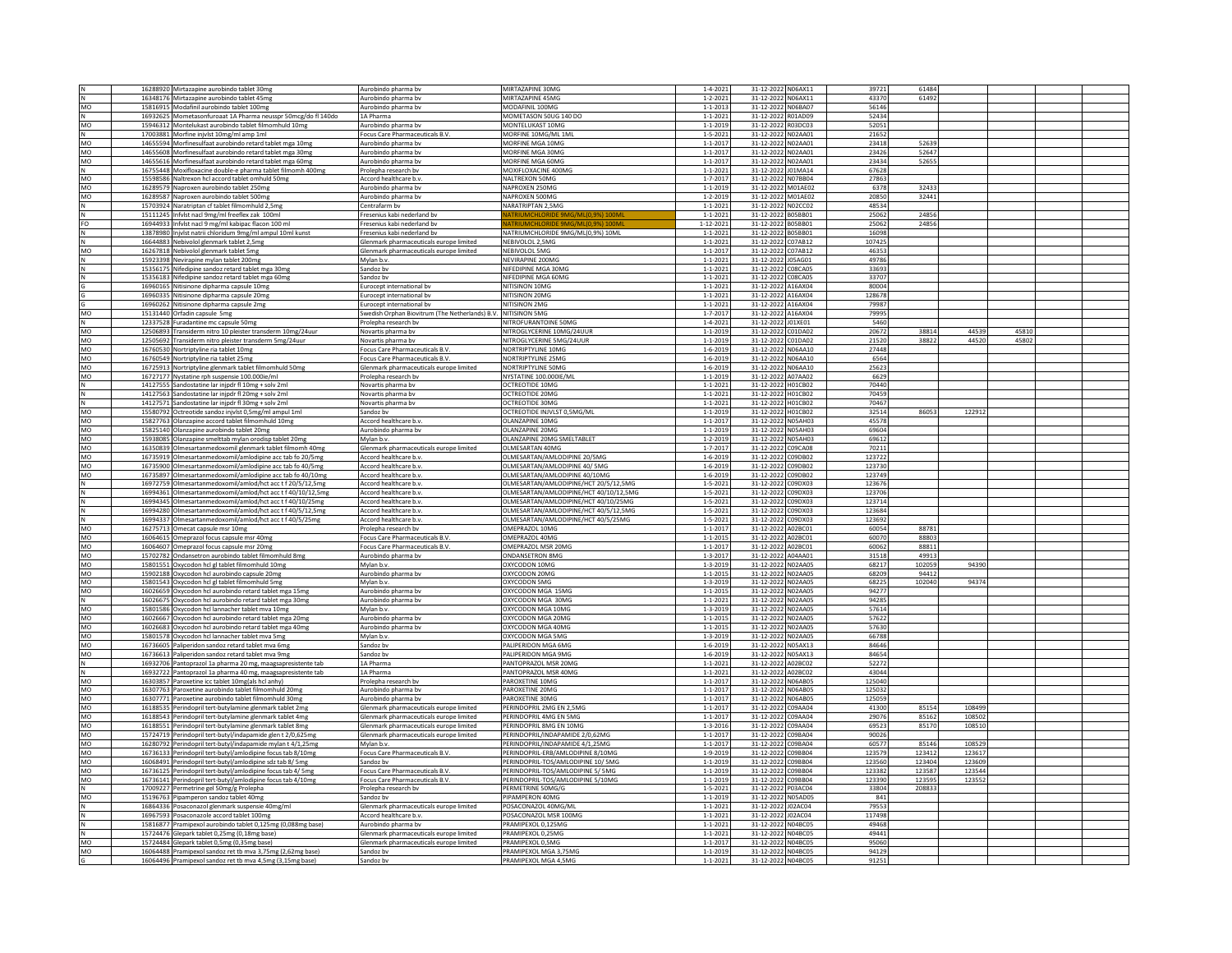|                | 16288920 Mirtazapine aurobindo tablet 30mg                    | Aurobindo pharma bv                                           | MIRTAZAPINE 30MG                       | $1 - 4 - 2021$  | 31-12-2022 N06AX11 | 39721  | 61484  |        |       |  |
|----------------|---------------------------------------------------------------|---------------------------------------------------------------|----------------------------------------|-----------------|--------------------|--------|--------|--------|-------|--|
|                | 16348176 Mirtazapine aurobindo tablet 45mg                    | Aurobindo pharma bv                                           | MIRTAZAPINE 45MG                       | $1 - 2 - 2021$  | 31-12-2022 N06AX11 | 43370  | 61492  |        |       |  |
| MO             | 15816915 Modafinil aurobindo tablet 100mg                     | Aurobindo pharma bv                                           | MODAFINIL 100MG                        | $1 - 1 - 2013$  | 31-12-2022 N06BA07 | 56146  |        |        |       |  |
| N              | 16932625 Mometasonfuroaat 1A Pharma neusspr 50mcg/do fl 140do | 1A Pharma                                                     | MOMETASON 50UG 140 DC                  | $1 - 1 - 2021$  | 31-12-2022 R01AD09 | 52434  |        |        |       |  |
| MO             | 15946312 Montelukast aurobindo tablet filmomhuld 10mg         | Aurobindo pharma by                                           | MONTELUKAST 10MG                       | $1 - 1 - 2019$  | 31-12-2022 R03DC03 | 52051  |        |        |       |  |
|                |                                                               |                                                               |                                        |                 |                    |        |        |        |       |  |
| $\,$ N         | 17003881 Morfine injvlst 10mg/ml amp 1ml                      | Focus Care Pharmaceuticals B.V.                               | MORFINE 10MG/ML 1ML                    | $1 - 5 - 2021$  | 31-12-2022 N02AA01 | 21652  |        |        |       |  |
| MO             | 14655594 Morfinesulfaat aurobindo retard tablet mga 10mg      | Aurobindo pharma bv                                           | MORFINE MGA 10MG                       | $1 - 1 - 2017$  | 31-12-2022 NO2AA01 | 23418  | 52639  |        |       |  |
| MO             | 14655608 Morfinesulfaat aurobindo retard tablet mga 30m;      | Aurobindo pharma by                                           | MORFINE MGA 30MG                       | $1 - 1 - 2017$  | 31-12-2022 N02AA01 | 23426  | 52647  |        |       |  |
| MO             | 14655616 Morfinesulfaat aurobindo retard tablet mga 60mg      | Aurobindo pharma bv                                           | MORFINE MGA 60MG                       | $1 - 1 - 201$   | 31-12-2022 N02AA01 | 23434  | 52655  |        |       |  |
| Ν              | 16755448 Moxifloxacine double-e pharma tablet filmomh 400mg   | Prolepha research by                                          | MOXIFLOXACINE 400MG                    | $1 - 1 - 2021$  | 31-12-2022 J01MA14 | 67628  |        |        |       |  |
| MO             |                                                               |                                                               |                                        |                 |                    | 27863  |        |        |       |  |
|                | 15598586 Naltrexon hcl accord tablet omhuld 50mg              | Accord healthcare b.v                                         | NALTREXON 50MG                         | $1 - 7 - 2017$  | 31-12-2022 N07BB04 |        |        |        |       |  |
| MO             | 16289579 Naproxen aurobindo tablet 250mg                      | Aurobindo pharma bv                                           | NAPROXEN 250MG                         | $1 - 1 - 2019$  | 31-12-2022 M01AE02 | 6378   | 32433  |        |       |  |
| MO             | 16289587 Naproxen aurobindo tablet 500mg                      | Aurobindo pharma bv                                           | NAPROXEN 500MG                         | $1 - 2 - 2019$  | 31-12-2022 M01AE02 | 20850  | 32441  |        |       |  |
|                | 15703924 Naratriptan cf tablet filmomhuld 2,5mg               | Centrafarm by                                                 | NARATRIPTAN 2,5MG                      | $1 - 1 - 2021$  | 31-12-2022 N02CC02 | 48534  |        |        |       |  |
| N              | 15111245 Infvist nacl 9mg/ml freeflex zak 100ml               | Fresenius kabi nederland by                                   |                                        | $1 - 1 - 2021$  | 31-12-2022 B05BB01 | 25062  | 24856  |        |       |  |
| FO             | 16944933 Infvlst nacl 9 mg/ml kabipac flacon 100 ml           | Fresenius kabi nederland bv                                   | ATRIUMCHLORIDE 9MG/ML(0,9%) 100        | $1 - 12 - 2021$ | 31-12-2022 B05BB01 | 25062  | 24856  |        |       |  |
|                |                                                               |                                                               | NATRIUMCHLORIDE 9MG/ML(0,9%) 10ML      | $1 - 1 - 2021$  | 31-12-2022 B05BB01 | 16098  |        |        |       |  |
|                | 13878980 Injvlst natrii chloridum 9mg/ml ampul 10ml kunst     | Fresenius kabi nederland bv                                   |                                        |                 |                    |        |        |        |       |  |
|                | 16644883 Nebivolol glenmark tablet 2,5mg                      | Glenmark pharmaceuticals europe limited                       | NEBIVOLOL 2,5MG                        | $1 - 1 - 2021$  | 31-12-2022 C07AB12 | 107425 |        |        |       |  |
| MO             | 16267818 Nebivolol glenmark tablet 5mg                        | Glenmark pharmaceuticals europe limited                       | NEBIVOLOL 5MG                          | $1 - 1 - 2017$  | 31-12-2022 C07AB12 | 46353  |        |        |       |  |
|                | 15923398 Nevirapine mylan tablet 200mg                        | Mylan b.v                                                     | NEVIRAPINE 200MG                       | $1 - 1 - 2021$  | 31-12-2022 J05AG01 | 49786  |        |        |       |  |
|                | 15356175 Nifedipine sandoz retard tablet mga 30mg             | Sandoz by                                                     | NIFEDIPINE MGA 30MG                    | $1 - 1 - 2021$  | 31-12-2022 C08CA05 | 33693  |        |        |       |  |
|                | 15356183 Nifedipine sandoz retard tablet mga 60mg             | Sandoz by                                                     | NIFEDIPINE MGA 60MG                    | $1 - 1 - 2021$  | 31-12-2022 C08CA05 | 33707  |        |        |       |  |
|                | 16960165 Nitisinone dipharma capsule 10mg                     | Eurocept international bv                                     | NITISINON 10MG                         | $1 - 1 - 2021$  | 31-12-2022 A16AX04 | 80004  |        |        |       |  |
|                | 16960335 Nitisinone dipharma capsule 20mg                     | Eurocept international by                                     | NITISINON 20MG                         | $1 - 1 - 2021$  | 31-12-2022 A16AX04 | 128678 |        |        |       |  |
|                |                                                               |                                                               | NITISINON 2MG                          | $1 - 1 - 2021$  | 31-12-2022 A16AX04 | 79987  |        |        |       |  |
|                | 16960262 Nitisinone dipharma capsule 2mg                      | Eurocept international bv                                     |                                        |                 |                    |        |        |        |       |  |
| MO             | 15131440 Orfadin capsule 5mg                                  | Swedish Orphan Biovitrum (The Netherlands) B.V. NITISINON 5MG |                                        | $1 - 7 - 2017$  | 31-12-2022 A16AX04 | 79995  |        |        |       |  |
| N              | 12337528 Furadantine mc capsule 50mg                          | Prolepha research bv                                          | NITROFURANTOINE 50MG                   | $1 - 4 - 2021$  | 31-12-2022 J01XE01 | 5460   |        |        |       |  |
| MO             | 12506893 Transiderm nitro 10 pleister transderm 10mg/24uur    | Novartis pharma bv                                            | NITROGLYCERINE 10MG/24UU               | $1 - 1 - 2019$  | 31-12-2022 C01DA02 | 20672  | 38814  | 44539  | 45810 |  |
| MO             | 12505692 Transiderm nitro pleister transderm 5mg/24uur        | Novartis pharma by                                            | NITROGLYCERINE 5MG/24UUR               | $1 - 1 - 2019$  | 31-12-2022 C01DA02 | 21520  | 38822  | 44520  | 45802 |  |
| MO             | 16760530 Nortriptyline ria tablet 10mg                        | Focus Care Pharmaceuticals B.V.                               | NORTRIPTYLINE 10MG                     | $1 - 6 - 2019$  | 31-12-2022 N06AA10 | 27448  |        |        |       |  |
| MO             | 16760549 Nortriptyline ria tablet 25mg                        | Focus Care Pharmaceuticals B.V                                | NORTRIPTYLINE 25MG                     | $1 - 6 - 2019$  | 31-12-2022 N06AA10 | 6564   |        |        |       |  |
|                |                                                               |                                                               |                                        |                 |                    |        |        |        |       |  |
| MO             | 16725913 Nortriptyline glenmark tablet filmomhuld 50mg        | Glenmark pharmaceuticals europe limited                       | NORTRIPTYLINE 50MG                     | $1 - 6 - 2019$  | 31-12-2022 N06AA10 | 25623  |        |        |       |  |
| MO             | 16727177 Nystatine rph suspensie 100.000ie/ml                 | Prolepha research bv                                          | NYSTATINE 100.000IE/ML                 | $1 - 1 - 2019$  | 31-12-2022 A07AA02 | 6629   |        |        |       |  |
| N              | 14127555 Sandostatine lar injpdr fl 10mg + solv 2ml           | Novartis pharma by                                            | OCTREOTIDE 10MG                        | $1 - 1 - 2021$  | 31-12-2022 H01CB02 | 70440  |        |        |       |  |
|                | 14127563 Sandostatine lar injpdr fl 20mg + solv 2ml           | Novartis pharma by                                            | <b>OCTREOTIDE 20MG</b>                 | $1 - 1 - 2021$  | 31-12-2022 H01CB02 | 70459  |        |        |       |  |
| lN.            | 14127571 Sandostatine lar injpdr fl 30mg + solv 2ml           | Novartis pharma by                                            | OCTREOTIDE 30MG                        | $1 - 1 - 2021$  | 31-12-2022 H01CB02 | 70467  |        |        |       |  |
| MO             | 15580792 Octreotide sandoz injvlst 0,5mg/ml ampul 1ml         | Sandoz bv                                                     | OCTREOTIDE INJVLST 0,5MG/ML            | $1 - 1 - 2019$  | 31-12-2022 H01CB02 | 32514  | 86053  | 122912 |       |  |
| MO             | 15827763 Olanzapine accord tablet filmomhuld 10mg             |                                                               | <b>JLANZAPINE 10MG</b>                 | $1 - 1 - 201$   | 31-12-2022 N05AH03 | 45578  |        |        |       |  |
|                |                                                               | Accord healthcare b.v.                                        |                                        |                 |                    | 69604  |        |        |       |  |
| MO             | 15825140 Olanzapine aurobindo tablet 20mg                     | Aurobindo pharma by                                           | OLANZAPINE 20MG                        | $1 - 1 - 2019$  | 31-12-2022 N05AH03 |        |        |        |       |  |
| MO             | 15938085 Olanzapine smelttab mylan orodisp tablet 20mg        | Mylan b.v                                                     | OLANZAPINE 20MG SMELTABLET             | $1 - 2 - 2019$  | 31-12-2022 N05AH03 | 69612  |        |        |       |  |
| MO             | 16350839 Olmesartanmedoxomil glenmark tablet filmomh 40mg     | Glenmark pharmaceuticals europe limited                       | <b>DLMESARTAN 40MG</b>                 | $1 - 7 - 201$   | 31-12-2022 C09CA08 | 70211  |        |        |       |  |
| MO             | 16735919 Olmesartanmedoxomil/amlodipine acc tab fo 20/5mg     | Accord healthcare b.v                                         | OLMESARTAN/AMLODIPINE 20/5MG           | $1 - 6 - 2019$  | 31-12-2022 C09DB02 | 123722 |        |        |       |  |
| MO             | 16735900 Olmesartanmedoxomil/amlodipine acc tab fo 40/5mg     | Accord healthcare b.v                                         | OLMESARTAN/AMLODIPINE 40/ 5MG          | $1 - 6 - 2019$  | 31-12-2022 C09DB02 | 123730 |        |        |       |  |
| MO             | 16735897 Olmesartanmedoxomil/amlodipine acc tab fo 40/10mg    | Accord healthcare b.v.                                        | OLMESARTAN/AMLODIPINE 40/10MG          | $1 - 6 - 2019$  | 31-12-2022 C09DB02 | 123749 |        |        |       |  |
|                | 16972759 Olmesartanmedoxomil/amlod/hct acc t f 20/5/12,5mg    | Accord healthcare b.v.                                        | OLMESARTAN/AMLODIPINE/HCT 20/5/12.5MG  | $1 - 5 - 2021$  | 31-12-2022 C09DX03 | 123676 |        |        |       |  |
|                |                                                               |                                                               |                                        |                 |                    |        |        |        |       |  |
| N              | 16994361 Olmesartanmedoxomil/amlod/hct acc t f 40/10/12,5mg   | Accord healthcare b.v                                         | OLMESARTAN/AMLODIPINE/HCT 40/10/12,5MG | $1 - 5 - 2021$  | 31-12-2022 C09DX03 | 123706 |        |        |       |  |
|                | 16994345 Olmesartanmedoxomil/amlod/hct acc t f 40/10/25mg     | Accord healthcare b.v.                                        | OLMESARTAN/AMLODIPINE/HCT 40/10/25MG   | $1 - 5 - 2021$  | 31-12-2022 C09DX03 | 123714 |        |        |       |  |
|                | 16994280 Olmesartanmedoxomil/amlod/hct acc t f 40/5/12,5mg    | Accord healthcare b.v.                                        | OLMESARTAN/AMLODIPINE/HCT 40/5/12,5MG  | $1 - 5 - 2021$  | 31-12-2022 C09DX03 | 123684 |        |        |       |  |
|                | 16994337 Olmesartanmedoxomil/amlod/hct acc t f 40/5/25mg      | Accord healthcare b.v                                         | OLMESARTAN/AMLODIPINE/HCT 40/5/25MG    | $1 - 5 - 2021$  | 31-12-2022 C09DX03 | 123692 |        |        |       |  |
| MO             | 16275713 Omecat capsule msr 10mg                              | Prolepha research bv                                          | OMEPRAZOL 10MG                         | $1 - 1 - 2017$  | 31-12-2022 A02BC01 | 60054  | 88781  |        |       |  |
| MO             | 16064615 Omeprazol focus capsule msr 40mg                     | Focus Care Pharmaceuticals B.V.                               | OMEPRAZOL 40MG                         | $1 - 1 - 2015$  | 31-12-2022 A02BC01 | 60070  | 88803  |        |       |  |
|                |                                                               |                                                               | OMEPRAZOL MSR 20MG                     | $1 - 1 - 2017$  | 31-12-2022 A02BC01 | 60062  | 88811  |        |       |  |
| MO             | 16064607 Omeprazol focus capsule msr 20mg                     | Focus Care Pharmaceuticals B.V.                               |                                        |                 |                    |        |        |        |       |  |
| MO             | 15702782 Ondansetron aurobindo tablet filmomhuld 8mg          | Aurobindo pharma bv                                           | <b>ONDANSETRON 8MG</b>                 | $1 - 3 - 2017$  | 31-12-2022 A04AA01 | 31518  | 49913  |        |       |  |
| MO             | 15801551 Oxycodon hcl gl tablet filmomhuld 10mg               | Mylan b.v                                                     | OXYCODON 10MG                          | $1 - 3 - 2019$  | 31-12-2022 N02AA05 | 68217  | 102059 | 94390  |       |  |
| MO             | 15902188 Oxycodon hcl aurobindo capsule 20mg                  | Aurobindo pharma bv                                           | OXYCODON 20MG                          | $1 - 1 - 2015$  | 31-12-2022 N02AA05 | 68209  | 94412  |        |       |  |
| MO             | 15801543 Oxycodon hcl gl tablet filmomhuld 5mg                | Mylan b.v                                                     | OXYCODON 5MG                           | $1 - 3 - 2019$  | 31-12-2022 NO2AA05 | 68225  | 102040 | 94374  |       |  |
| MO             | 16026659 Oxycodon hcl aurobindo retard tablet mga 15mg        | Aurobindo pharma bv                                           | OXYCODON MGA 15MG                      | $1 - 1 - 2015$  | 31-12-2022 N02AA05 | 94277  |        |        |       |  |
|                | 16026675 Oxycodon hcl aurobindo retard tablet mga 30mg        |                                                               | OXYCODON MGA 30MG                      | $1 - 1 - 2021$  | 31-12-2022 N02AA05 | 94285  |        |        |       |  |
| N <sub>1</sub> |                                                               | Aurobindo pharma bv                                           |                                        |                 |                    |        |        |        |       |  |
| MO             | 15801586 Oxycodon hcl lannacher tablet mva 10mg               | Mylan b.v                                                     | OXYCODON MGA 10MG                      | 1-3-2019        | 31-12-2022 N02AA05 | 57614  |        |        |       |  |
| MO             | 16026667 Oxycodon hcl aurobindo retard tablet mga 20mg        | Aurobindo pharma bv                                           | OXYCODON MGA 20MG                      | $1 - 1 - 2015$  | 31-12-2022 N02AA05 | 57622  |        |        |       |  |
| MO             | 16026683 Oxycodon hcl aurobindo retard tablet mga 40mg        | Aurobindo pharma bv                                           | OXYCODON MGA 40MG                      | $1 - 1 - 2015$  | 31-12-2022 N02AA05 | 57630  |        |        |       |  |
| MO             | 15801578 Oxycodon hcl lannacher tablet mva 5mg                | Mylan b.y                                                     | <b>DXYCODON MGA 5MG</b>                | $1 - 3 - 2019$  | 31-12-2022 NO2AA05 | 66788  |        |        |       |  |
| MO             | 16736605 Paliperidon sandoz retard tablet mva 6mg             | Sandoz by                                                     | PALIPERIDON MGA 6MG                    | $1 - 6 - 2019$  | 31-12-2022 N05AX13 | 84646  |        |        |       |  |
| MO             | 16736613 Paliperidon sandoz retard tablet mva 9mg             | Sandoz by                                                     | PALIPERIDON MGA 9MG                    | $1 - 6 - 2019$  | 31-12-2022 N05AX13 | 84654  |        |        |       |  |
| N              | 16932706 Pantoprazol 1a pharma 20 mg, maagsapresistente tab   | 1A Pharma                                                     | PANTOPRAZOL MSR 20MG                   | $1 - 1 - 2021$  | 31-12-2022 A02BC02 | 52272  |        |        |       |  |
| N              | 16932722 Pantoprazol 1a pharma 40 mg, maagsapresistente tab   | 1A Pharma                                                     | PANTOPRAZOL MSR 40MG                   | $1 - 1 - 2021$  | 31-12-2022 A02BC02 | 43044  |        |        |       |  |
| MO             |                                                               | Prolepha research by                                          | PAROXETINE 10MG                        | $1 - 1 - 2017$  | 31-12-2022 N06AB05 | 125040 |        |        |       |  |
|                | 16303857 Paroxetine icc tablet 10mg(als hcl anhy)             |                                                               |                                        |                 |                    |        |        |        |       |  |
| MO             | 16307763 Paroxetine aurobindo tablet filmomhuld 20mg          | Aurobindo pharma bv                                           | PAROXETINE 20MG                        | $1 - 1 - 201$   | 31-12-2022 N06AB05 | 125032 |        |        |       |  |
| MO             | 16307771 Paroxetine aurobindo tablet filmomhuld 30mg          | Aurobindo pharma bv                                           | PAROXETINE 30MG                        | $1 - 1 - 2017$  | 31-12-2022 N06AB05 | 125059 |        |        |       |  |
| M <sub>O</sub> | 16188535 Perindopril tert-butylamine glenmark tablet 2mg      | Glenmark pharmaceuticals europe limited                       | PERINDOPRIL 2MG EN 2,5MG               | $1 - 1 - 201$   | 31-12-2022 C09AA04 | 41300  | 85154  | 108499 |       |  |
| MO             | 16188543 Perindopril tert-butylamine glenmark tablet 4mg      | Glenmark pharmaceuticals europe limited                       | PERINDOPRIL 4MG EN 5MG                 | $1 - 1 - 2017$  | 31-12-2022 C09AA04 | 29076  | 85162  | 108502 |       |  |
| MO             | 16188551 Perindopril tert-butylamine glenmark tablet 8mg      | Glenmark pharmaceuticals europe limited                       | PERINDOPRIL 8MG EN 10MG                | $1 - 3 - 2016$  | 31-12-2022 C09AA04 | 69523  | 85170  | 108510 |       |  |
| MO             | 15724719 Perindopril tert-butyl/indapamide glen t 2/0,625mg   | Glenmark pharmaceuticals europe limited                       | PERINDOPRIL/INDAPAMIDE 2/0.62MG        | $1 - 1 - 201$   | 31-12-2022 C09BA04 | 90026  |        |        |       |  |
| MO             |                                                               | Mylan b.v.                                                    | PERINDOPRIL/INDAPAMIDE 4/1.25MG        | $1 - 1 - 201$   | 31-12-2022 C09BA04 | 60577  | 85146  | 108529 |       |  |
|                | 16280792 Perindopril tert-butyl/indapamide mylan t 4/1,25mg   |                                                               |                                        |                 |                    |        |        |        |       |  |
| MO             | 16736133 Perindopril tert-butyl/amlodipine focus tab 8/10mg   | Focus Care Pharmaceuticals B.V.                               | PERINDOPRIL-ERB/AMLODIPINE 8/10MG      | $1 - 9 - 2019$  | 31-12-2022 C09BB04 | 123579 | 123412 | 123617 |       |  |
| MO             | 16068491 Perindopril tert-butyl/amlodipine sdz tab 8/5mg      | Sandoz bv                                                     | PERINDOPRIL-TOS/AMLODIPINE 10/5MG      | $1 - 1 - 2019$  | 31-12-2022 C09BB04 | 123560 | 123404 | 123609 |       |  |
| MO             | 16736125 Perindopril tert-butyl/amlodipine focus tab 4/ 5mg   | Focus Care Pharmaceuticals B.V                                | PERINDOPRIL-TOS/AMLODIPINE 5/ 5MG      | $1 - 1 - 2019$  | 31-12-2022 C09BB04 | 123382 | 123587 | 123544 |       |  |
| MO             | 16736141 Perindopril tert-butyl/amlodipine focus tab 4/10mg   | Focus Care Pharmaceuticals B.V.                               | PERINDOPRIL-TOS/AMLODIPINE 5/10MG      | $1 - 1 - 2019$  | 31-12-2022 C09BB04 | 123390 | 123595 | 123552 |       |  |
| Ν              | 17009227 Permetrine gel 50mg/g Prolepha                       | Prolepha research by                                          | PERMETRINE 50MG/G                      | $1 - 5 - 2021$  | 31-12-2022 P03AC04 | 33804  | 208833 |        |       |  |
| MO             | 15196763 Pipamperon sandoz tablet 40mg                        | Sandoz by                                                     | PIPAMPERON 40MG                        | $1 - 1 - 2019$  | 31-12-2022 N05AD05 | 841    |        |        |       |  |
| N              | 16864336 Posaconazol glenmark suspensie 40mg/ml               | Glenmark pharmaceuticals europe limited                       | POSACONAZOL 40MG/ML                    | $1 - 1 - 2021$  | 31-12-2022 J02AC04 | 79553  |        |        |       |  |
|                |                                                               |                                                               |                                        |                 |                    | 117498 |        |        |       |  |
| $\hbox{N}$     | 16967593 Posaconazole accord tablet 100mg                     | Accord healthcare b.v                                         | POSACONAZOL MSR 100MG                  | $1 - 1 - 2021$  | 31-12-2022 J02AC04 |        |        |        |       |  |
|                | 15816877 Pramipexol aurobindo tablet 0,125mg (0,088mg base)   | Aurobindo pharma bv                                           | PRAMIPEXOL 0.125MG                     | $1 - 1 - 2021$  | 31-12-2022 N04BC05 | 49468  |        |        |       |  |
| N              | 15724476 Glepark tablet 0,25mg (0,18mg base)                  | Glenmark pharmaceuticals europe limited                       | PRAMIPEXOL 0.25MG                      | $1 - 1 - 2021$  | 31-12-2022 N04BC05 | 49441  |        |        |       |  |
| MO             | 15724484 Glepark tablet 0,5mg (0,35mg base)                   | Glenmark pharmaceuticals europe limited                       | PRAMIPEXOL 0,5MG                       | $1 - 1 - 201$   | 31-12-2022 N04BC05 | 95060  |        |        |       |  |
| MO             | 16064488 Pramipexol sandoz ret tb mva 3,75mg (2,62mg base)    | Sandoz by                                                     | PRAMIPEXOL MGA 3.75MG                  | $1 - 1 - 2019$  | 31-12-2022 N04BC05 | 94129  |        |        |       |  |
|                | 16064496 Pramipexol sandoz ret tb mva 4,5mg (3,15mg base)     | Sandoz by                                                     | PRAMIPEXOL MGA 4,5MG                   | $1 - 1 - 2021$  | 31-12-2022 N04BC05 | 91251  |        |        |       |  |
| G              |                                                               |                                                               |                                        |                 |                    |        |        |        |       |  |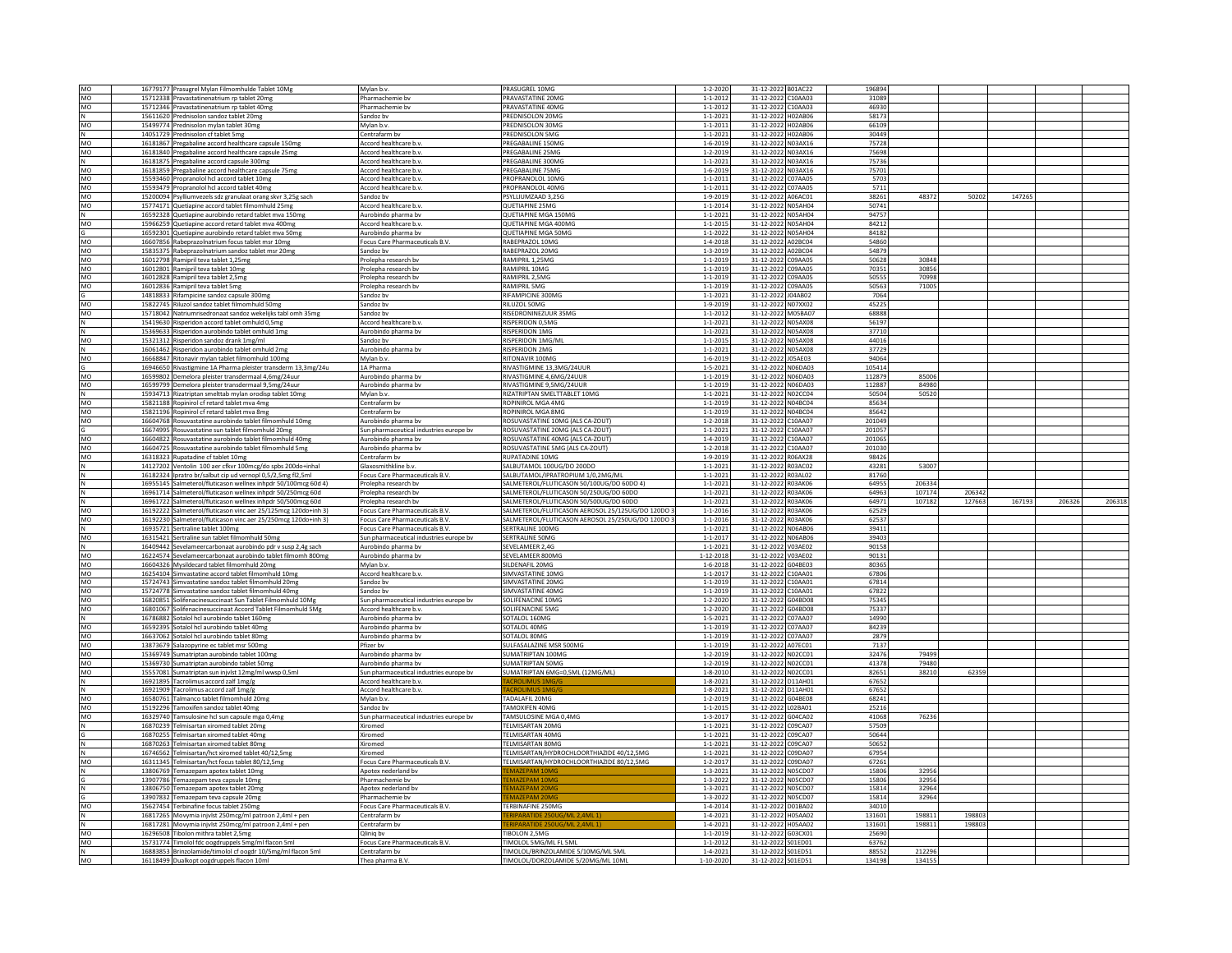| MO          | 16779177 Prasugrel Mylan Filmomhulde Tablet 10Mg                                                                  | Mylan b.v.                                              | PRASUGREL 10MG                                  | $1 - 2 - 2020$  | 31-12-2022 B01AC22                       | 196894 |        |        |        |        |        |
|-------------|-------------------------------------------------------------------------------------------------------------------|---------------------------------------------------------|-------------------------------------------------|-----------------|------------------------------------------|--------|--------|--------|--------|--------|--------|
| MO          | 15712338 Pravastatinenatrium rp tablet 20mg                                                                       | Pharmachemie bv                                         | PRAVASTATINE 20MG                               | $1 - 1 - 2012$  | 31-12-2022 C10AA03                       | 31089  |        |        |        |        |        |
| MO          | 15712346 Pravastatinenatrium rp tablet 40mg                                                                       | Pharmachemie by                                         | PRAVASTATINE 40MG                               | $1 - 1 - 2012$  | 31-12-2022 C10AA03                       | 46930  |        |        |        |        |        |
| N           | 15611620 Prednisolon sandoz tablet 20mg                                                                           | Sandoz by                                               | PREDNISOLON 20MG                                | $1 - 1 - 2021$  | 31-12-2022 H02AB06                       | 58173  |        |        |        |        |        |
| MO          | 15499774 Prednisolon mylan tablet 30mg                                                                            | Mylan b.v.                                              | PREDNISOLON 30MG                                | $1 - 1 - 2011$  | 31-12-2022 H02AB06                       | 66109  |        |        |        |        |        |
|             |                                                                                                                   |                                                         |                                                 |                 |                                          |        |        |        |        |        |        |
| N           | 14051729 Prednisolon cf tablet 5mg                                                                                | Centrafarm by                                           | PREDNISOLON 5MG                                 | $1 - 1 - 2021$  | 31-12-2022 H02AB06                       | 30449  |        |        |        |        |        |
| MO          | 16181867 Pregabaline accord healthcare capsule 150mg                                                              | Accord healthcare b.v                                   | PREGABALINE 150MG                               | $1 - 6 - 2019$  | 31-12-2022 N03AX16                       | 75728  |        |        |        |        |        |
| MO          | 16181840 Pregabaline accord healthcare capsule 25mg                                                               | Accord healthcare b.v.                                  | PREGABALINE 25MG                                | $1 - 2 - 2019$  | 31-12-2022 N03AX16                       | 75698  |        |        |        |        |        |
| ${\sf N}$   | 16181875 Pregabaline accord capsule 300mg                                                                         | Accord healthcare b.v.                                  | PREGABALINE 300MG                               | $1 - 1 - 2021$  | 31-12-2022 N03AX16                       | 75736  |        |        |        |        |        |
| MO          | 16181859 Pregabaline accord healthcare capsule 75mg                                                               | Accord healthcare b.v.                                  | PREGABALINE 75MG                                | $1 - 6 - 2019$  | 31-12-2022 N03AX16                       | 75701  |        |        |        |        |        |
| MO          | 15593460 Propranolol hcl accord tablet 10mg                                                                       | Accord healthcare b.v.                                  | PROPRANOLOL 10MG                                | $1 - 1 - 2011$  | 31-12-2022 C07AA05                       | 5703   |        |        |        |        |        |
|             |                                                                                                                   |                                                         |                                                 |                 |                                          |        |        |        |        |        |        |
| MO          | 15593479 Propranolol hcl accord tablet 40mg                                                                       | Accord healthcare b.v.                                  | PROPRANOLOL 40MG                                | $1 - 1 - 2011$  | 31-12-2022 C07AA05                       | 5711   |        |        |        |        |        |
| <b>MO</b>   | 15200094 Psylliumvezels sdz granulaat orang skvr 3,25g sach                                                       | Sandoz by                                               | PSYLLIUMZAAD 3.25G                              | $1 - 9 - 2019$  | 31-12-2022 A06AC01                       | 38261  | 48372  | 50202  | 147265 |        |        |
| MO          | 15774171 Quetiapine accord tablet filmomhuld 25mg                                                                 | Accord healthcare b.v.                                  | QUETIAPINE 25MG                                 | $1 - 1 - 2014$  | 31-12-2022 N05AH04                       | 50741  |        |        |        |        |        |
|             | 16592328 Quetiapine aurobindo retard tablet mva 150mg                                                             | Aurobindo pharma bv                                     | QUETIAPINE MGA 150MG                            | $1 - 1 - 2021$  | 31-12-2022 N05AH04                       | 94757  |        |        |        |        |        |
| N<br>MO     | 15966259 Quetiapine accord retard tablet mva 400mg                                                                | Accord healthcare b.v                                   | QUETIAPINE MGA 400MG                            | $1 - 1 - 2015$  | 31-12-2022 N05AH04                       | 84212  |        |        |        |        |        |
| G           | 16592301 Quetiapine aurobindo retard tablet mva 50mg                                                              | Aurobindo pharma bv                                     | QUETIAPINE MGA 50MG                             | $1 - 1 - 2022$  | 31-12-2022 N05AH04                       | 84182  |        |        |        |        |        |
| MO          |                                                                                                                   | Focus Care Pharmaceuticals B.V.                         |                                                 |                 |                                          | 54860  |        |        |        |        |        |
|             | 16607856 Rabeprazolnatrium focus tablet msr 10mg                                                                  |                                                         | RABEPRAZOL 10MG                                 | $1 - 4 - 2018$  | 31-12-2022 A02BC04                       |        |        |        |        |        |        |
| MO          | 15835375 Rabeprazolnatrium sandoz tablet msr 20mg                                                                 | Sandoz by                                               | RABEPRAZOL 20MG                                 | $1 - 3 - 2019$  | 31-12-2022 A02BC04                       | 54879  |        |        |        |        |        |
| MO          | 16012798 Ramipril teva tablet 1,25mg                                                                              | Prolepha research by                                    | RAMIPRIL 1.25MG                                 | $1 - 1 - 2019$  | 31-12-2022 C09AA05                       | 50628  | 30848  |        |        |        |        |
| MO          | 16012801 Ramipril teva tablet 10mg                                                                                | Prolepha research by                                    | RAMIPRIL 10MG                                   | $1 - 1 - 2019$  | 31-12-2022 C09AA05                       | 70351  | 30856  |        |        |        |        |
| MO          | 16012828 Ramipril teva tablet 2.5mg                                                                               | Prolepha research by                                    | RAMIPRIL 2,5MG                                  | $1 - 1 - 2019$  | 31-12-2022 C09AA05                       | 50555  | 70998  |        |        |        |        |
| MO          | 16012836 Ramipril teva tablet 5mg                                                                                 | Prolepha research by                                    | RAMIPRIL 5MG                                    | $1 - 1 - 2019$  | 31-12-2022 C09AA05                       | 50563  | 71005  |        |        |        |        |
|             | 14818833 Rifampicine sandoz capsule 300mg                                                                         | Sandoz bv                                               | RIFAMPICINE 300MG                               | $1 - 1 - 2021$  | 31-12-2022 J04AB02                       | 7064   |        |        |        |        |        |
| MO          | 15822745 Riluzol sandoz tablet filmombuld 50mg                                                                    | Sandoz by                                               | RILUZOL 50MG                                    | $1 - 9 - 2019$  | 31-12-2022 N07XX02                       | 45225  |        |        |        |        |        |
|             |                                                                                                                   |                                                         |                                                 |                 |                                          |        |        |        |        |        |        |
| MO          | 15718042 Natriumrisedronaat sandoz wekelijks tabl omh 35mg                                                        | Sandoz bv                                               | RISEDRONINEZUUR 35MG                            | $1 - 1 - 2012$  | 31-12-2022 M05BA07                       | 68888  |        |        |        |        |        |
| N           | 15419630 Risperidon accord tablet omhuld 0,5mg                                                                    | Accord healthcare b.v.                                  | RISPERIDON 0.5MG                                | $1 - 1 - 2021$  | 31-12-2022 N05AX08                       | 56197  |        |        |        |        |        |
| lΝ          | 15369633 Risperidon aurobindo tablet omhuld 1mg                                                                   | Aurobindo pharma bv                                     | RISPERIDON 1MG                                  | $1 - 1 - 2021$  | 31-12-2022 N05AX08                       | 37710  |        |        |        |        |        |
| MO          | 15321312 Risperidon sandoz drank 1mg/ml                                                                           | Sandoz by                                               | RISPERIDON 1MG/ML                               | $1 - 1 - 2015$  | 31-12-2022 N05AX08                       | 44016  |        |        |        |        |        |
| N           | 16061462 Risperidon aurobindo tablet omhuld 2mg                                                                   | Aurobindo pharma bv                                     | RISPERIDON 2MG                                  | $1 - 1 - 2021$  | 31-12-2022 N05AX08                       | 37729  |        |        |        |        |        |
| MO          | 16668847 Ritonavir mylan tablet filmomhuld 100mg                                                                  | Mylan b.v.                                              | RITONAVIR 100MG                                 | $1 - 6 - 2019$  | 31-12-2022 J05AE03                       | 94064  |        |        |        |        |        |
|             |                                                                                                                   |                                                         |                                                 |                 |                                          |        |        |        |        |        |        |
| G           | 16946650 Rivastigmine 1A Pharma pleister transderm 13,3mg/24u                                                     | 1A Pharma                                               | RIVASTIGMINE 13.3MG/24UUR                       | $1 - 5 - 2021$  | 31-12-2022 N06DA03                       | 105414 |        |        |        |        |        |
| MO          | 16599802 Demelora pleister transdermaal 4,6mg/24uur                                                               | Aurobindo pharma bv                                     | RIVASTIGMINE 4,6MG/24UUR                        | $1 - 1 - 2019$  | 31-12-2022 N06DA03                       | 112879 | 85006  |        |        |        |        |
| MO          | 16599799 Demelora pleister transdermaal 9,5mg/24uur                                                               | Aurobindo pharma by                                     | RIVASTIGMINE 9.5MG/24UUR                        | $1 - 1 - 2019$  | 31-12-2022 N06DA03                       | 112887 | 84980  |        |        |        |        |
| N           | 15934713 Rizatriptan smelttab mylan orodisp tablet 10mg                                                           | Mylan b.v                                               | RIZATRIPTAN SMELTTABLET 10MG                    | $1 - 1 - 2021$  | 31-12-2022 N02CC04                       | 50504  | 50520  |        |        |        |        |
| MO          | 15821188 Ropinirol cf retard tablet mva 4mg                                                                       | Centrafarm by                                           | ROPINIROL MGA 4MG                               | $1 - 1 - 2019$  | 31-12-2022 N04BC04                       | 85634  |        |        |        |        |        |
| MO          | 15821196 Ropinirol cf retard tablet mva 8mg                                                                       | Centrafarm bv                                           | ROPINIROL MGA 8MG                               | $1 - 1 - 2019$  | 31-12-2022 N04BC04                       | 85642  |        |        |        |        |        |
|             |                                                                                                                   |                                                         |                                                 |                 |                                          |        |        |        |        |        |        |
| MO          | 16604768 Rosuvastatine aurobindo tablet filmomhuld 10mg                                                           | Aurobindo pharma bv                                     | ROSUVASTATINE 10MG (ALS CA-ZOUT)                | $1 - 2 - 2018$  | 31-12-2022 C10AA07                       | 201049 |        |        |        |        |        |
| G           | 16674995 Rosuvastatine sun tablet filmomhuld 20mg                                                                 | Sun pharmaceutical industries europe bv                 | ROSUVASTATINE 20MG (ALS CA-ZOUT)                | $1 - 1 - 2021$  | 31-12-2022 C10AA07                       | 201057 |        |        |        |        |        |
| MO          | 16604822 Rosuvastatine aurobindo tablet filmomhuld 40mg                                                           | Aurobindo pharma bv                                     | ROSUVASTATINE 40MG (ALS CA-ZOUT)                | 1-4-2019        | 31-12-2022 C10AA07                       | 201065 |        |        |        |        |        |
| MO          | 16604725 Rosuvastatine aurobindo tablet filmomhuld 5mg                                                            | Aurobindo pharma bv                                     | ROSUVASTATINE 5MG (ALS CA-ZOUT)                 | $1 - 2 - 2018$  | 31-12-2022 C10AA07                       | 201030 |        |        |        |        |        |
| MO          | 16318323 Rupatadine cf tablet 10mg                                                                                | Centrafarm by                                           | <b>RUPATADINE 10MG</b>                          | $1 - 9 - 2019$  | 31-12-2022 R06AX28                       | 98426  |        |        |        |        |        |
|             | 14127202 Ventolin 100 aer cfkvr 100mcg/do spbs 200do+inhal                                                        | Glaxosmithkline b.v.                                    | SALBUTAMOL 100UG/DO 200DO                       | $1 - 1 - 2021$  | 31-12-2022 R03AC02                       | 43281  | 53007  |        |        |        |        |
|             |                                                                                                                   |                                                         |                                                 |                 |                                          | 81760  |        |        |        |        |        |
| N           | 16182324 Ipratro br/salbut cip ud vernopl 0,5/2,5mg fl2,5ml                                                       | Focus Care Pharmaceuticals B.V.<br>Prolepha research by | SALBUTAMOL/IPRATROPIUM 1/0,2MG/ML               | $1 - 1 - 2021$  | 31-12-2022 R03AL02<br>31-12-2022 R03AK06 | 64955  | 206334 |        |        |        |        |
|             |                                                                                                                   |                                                         |                                                 | $1 - 1 - 2021$  |                                          |        |        |        |        |        |        |
|             | 16955145 Salmeterol/fluticason wellnex inhpdr 50/100mcg 60d 4)                                                    |                                                         | SALMETEROL/FLUTICASON 50/100UG/DO 60DO 4)       |                 |                                          |        |        |        |        |        |        |
| $\mathsf N$ | 16961714 Salmeterol/fluticason wellnex inhpdr 50/250mcg 60d                                                       | Prolepha research bv                                    | SALMETEROL/FLUTICASON 50/250UG/DO 60DO          | $1 - 1 - 2021$  | 31-12-2022 R03AK06                       | 64963  | 107174 | 206342 |        |        |        |
|             |                                                                                                                   | Prolepha research bv                                    | SALMETEROL/FLUTICASON 50/500UG/DO 60DO          | $1 - 1 - 2021$  |                                          | 64971  | 107182 | 127663 |        | 206326 |        |
| <b>MO</b>   | 16961722 Salmeterol/fluticason wellnex inhpdr 50/500mcg 60d                                                       | Focus Care Pharmaceuticals B.V.                         |                                                 | $1 - 1 - 2016$  | 31-12-2022 R03AK06                       | 62529  |        |        | 167193 |        |        |
|             | 16192222 Salmeterol/fluticason vinc aer 25/125mcg 120do+inh 3)                                                    |                                                         | SALMETEROL/FLUTICASON AEROSOL 25/125UG/DO 120DO |                 | 31-12-2022 R03AK06                       |        |        |        |        |        |        |
| MO          | 16192230 Salmeterol/fluticason vinc aer 25/250mcg 120do+inh 3)                                                    | Focus Care Pharmaceuticals B.V                          | SALMETEROL/FLUTICASON AEROSOL 25/250UG/DO 120DO | $1 - 1 - 201$   | 31-12-2022 R03AK06                       | 62537  |        |        |        |        |        |
| $\mathsf N$ | 16935721 Sertraline tablet 100mg                                                                                  | Focus Care Pharmaceuticals B.V.                         | SERTRALINE 100MG                                | $1 - 1 - 2021$  | 31-12-2022 N06AB06                       | 39411  |        |        |        |        |        |
| MO          | 16315421 Sertraline sun tablet filmomhuld 50mg                                                                    | Sun pharmaceutical industries europe bv                 | SERTRALINE 50MG                                 | $1 - 1 - 2017$  | 31-12-2022 N06AB06                       | 39403  |        |        |        |        |        |
| $\mathsf N$ | 16409442 Sevelameercarbonaat aurobindo pdr v susp 2,4g sach                                                       | Aurobindo pharma bv                                     | SEVELAMEER 2.4G                                 | $1 - 1 - 2021$  | 31-12-2022 V03AE02                       | 90158  |        |        |        |        |        |
| MO          |                                                                                                                   | Aurobindo pharma bv                                     | SEVELAMEER 800MG                                | $1 - 12 - 2018$ | 31-12-2022 V03AE02                       | 90131  |        |        |        |        |        |
|             | 16224574 Sevelameercarbonaat aurobindo tablet filmomh 800mg                                                       |                                                         |                                                 |                 |                                          |        |        |        |        |        |        |
| MO          | 16604326 Mysildecard tablet filmomhuld 20me                                                                       | Mylan b.v.                                              | SILDENAFIL 20MG                                 | $1 - 6 - 2018$  | 31-12-2022 G04BE03                       | 80365  |        |        |        |        |        |
| MO          | 16254104 Simvastatine accord tablet filmomhuld 10me                                                               | Accord healthcare b.v.                                  | SIMVASTATINE 10MG                               | $1 - 1 - 2017$  | 31-12-2022 C10AA01                       | 67806  |        |        |        |        |        |
| MO          | 15724743 Simvastatine sandoz tablet filmomhuld 20mg                                                               | Sandoz bv                                               | SIMVASTATINE 20MG                               | $1 - 1 - 2019$  | 31-12-2022 C10AA01                       | 67814  |        |        |        |        |        |
| MO          | 15724778 Simvastatine sandoz tablet filmomhuld 40mg                                                               | Sandoz by                                               | SIMVASTATINE 40MG                               | $1 - 1 - 2019$  | 31-12-2022 C10AA01                       | 67822  |        |        |        |        |        |
| MO          | 16820851 Solifenacinesuccinaat Sun Tablet Filmomhuld 10Mg                                                         | Sun pharmaceutical industries europe bv                 | SOLIFENACINE 10MG                               | $1 - 2 - 2020$  | 31-12-2022 G04BD08                       | 75345  |        |        |        |        |        |
| MO          | 16801067 Solifenacinesuccinaat Accord Tablet Filmomhuld 5Mg                                                       | Accord healthcare b.v                                   | SOLIFENACINE 5MG                                | $1 - 2 - 2020$  | 31-12-2022 G04BD08                       | 75337  |        |        |        |        |        |
|             | 16786882 Sotalol hcl aurobindo tablet 160mg                                                                       | Aurobindo pharma by                                     | SOTALOL 160MG                                   | $1 - 5 - 2021$  | 31-12-2022 C07AA07                       | 14990  |        |        |        |        |        |
| $\,$ N      | 16592395 Sotalol hcl aurobindo tablet 40mg                                                                        | Aurobindo pharma bv                                     |                                                 | $1 - 1 - 2019$  |                                          |        |        |        |        |        |        |
| MO          |                                                                                                                   |                                                         | SOTALOL 40MG                                    |                 | 31-12-2022 C07AA07                       | 84239  |        |        |        |        |        |
| MO          | 16637062 Sotalol hcl aurobindo tablet 80mg                                                                        | Aurobindo pharma bv                                     | SOTALOL 80MG                                    | $1 - 1 - 2019$  | 31-12-2022 C07AA07                       | 2879   |        |        |        |        |        |
| MO          | 13873679 Salazopyrine ec tablet msr 500mg                                                                         | Pfizer bv                                               | SULFASALAZINE MSR 500MG                         | $1 - 1 - 2019$  | 31-12-2022 A07EC01                       | 7137   |        |        |        |        |        |
| MO          | 15369749 Sumatriptan aurobindo tablet 100mg                                                                       | Aurobindo pharma bv                                     | SUMATRIPTAN 100MG                               | $1 - 2 - 2019$  | 31-12-2022 N02CC01                       | 32476  | 79499  |        |        |        |        |
| MO          | 15369730 Sumatriptan aurobindo tablet 50mg                                                                        | Aurobindo pharma bv                                     | <b>SUMATRIPTAN 50MG</b>                         | $1 - 2 - 2019$  | 31-12-2022 NO2CC01                       | 41378  | 79480  |        |        |        |        |
| MO          | 15557081 Sumatriptan sun injvlst 12mg/ml wwsp 0,5ml                                                               | Sun pharmaceutical industries europe bv                 | SUMATRIPTAN 6MG=0,5ML (12MG/ML)                 | $1 - 8 - 2010$  | 31-12-2022 N02CC01                       | 82651  | 38210  | 62359  |        |        |        |
| IN.         | 16921895 Tacrolimus accord zalf 1mg/g                                                                             | Accord healthcare b.v                                   |                                                 | $1 - 8 - 2021$  | 31-12-2022 D11AH01                       | 67652  |        |        |        |        |        |
|             |                                                                                                                   |                                                         | <b>ACROLIMUS 1</b>                              | $1 - 8 - 2021$  |                                          | 67652  |        |        |        |        |        |
|             | 16921909 Tacrolimus accord zalf 1mg/g                                                                             | Accord healthcare b.v.                                  |                                                 |                 | 31-12-2022 D11AH01                       |        |        |        |        |        |        |
| MO          | 16580761 Talmanco tablet filmomhuld 20me                                                                          | Mylan b.v.                                              | TADALAFIL 20MG                                  | $1 - 2 - 2019$  | 31-12-2022 G04BE08                       | 68241  |        |        |        |        |        |
| MO          | 15192296 Tamoxifen sandoz tablet 40mg                                                                             | Sandoz bv                                               | TAMOXIFEN 40MG                                  | $1 - 1 - 201$   | 31-12-2022 LO2BA01                       | 25216  |        |        |        |        |        |
| MO          | 16329740 Tamsulosine hcl sun capsule mga 0,4mg                                                                    | Sun pharmaceutical industries europe bv                 | TAMSULOSINE MGA 0,4MG                           | $1 - 3 - 201$   | 31-12-2022 G04CA02                       | 41068  | 76236  |        |        |        |        |
| N           | 16870239 Telmisartan xiromed tablet 20mg                                                                          | Xiromed                                                 | TEI MISARTAN 20MG                               | $1 - 1 - 2021$  | 31-12-2022 C09CA07                       | 57509  |        |        |        |        |        |
|             |                                                                                                                   | Xiromed                                                 | TELMISARTAN 40MG                                | $1 - 1 - 2021$  | 31-12-2022 C09CA07                       | 50644  |        |        |        |        |        |
|             | 16870255 Telmisartan xiromed tablet 40mg<br>16870263 Telmisartan xiromed tablet 80mg                              | Xiromed                                                 | TELMISARTAN 80MG                                | $1 - 1 - 2021$  | 31-12-2022 C09CA07                       | 50652  |        |        |        |        |        |
|             |                                                                                                                   |                                                         |                                                 |                 |                                          |        |        |        |        |        |        |
|             | 16746562 Telmisartan/hct xiromed tablet 40/12,5mg                                                                 | Xiromed                                                 | TELMISARTAN/HYDROCHLOORTHIAZIDE 40/12,5MG       | $1 - 1 - 2021$  | 31-12-2022 C09DA07                       | 67954  |        |        |        |        |        |
| MO          | 16311345 Telmisartan/hct focus tablet 80/12.5mg                                                                   | Focus Care Pharmaceuticals B.V.                         | TELMISARTAN/HYDROCHLOORTHIAZIDE 80/12.5MG       | $1 - 2 - 201$   | 31-12-2022 C09DA07                       | 67261  |        |        |        |        |        |
|             | 13806769 Temazepam apotex tablet 10mg                                                                             | Apotex nederland bv                                     |                                                 | $1 - 3 - 2021$  | 31-12-2022 N05CD07                       | 15806  | 32956  |        |        |        |        |
|             | 13907786 Temazepam teva capsule 10mg                                                                              | Pharmachemie by                                         | <b>EMAZEPAM 10MC</b>                            | $1 - 3 - 2022$  | 31-12-2022 N05CD07                       | 15806  | 32956  |        |        |        |        |
| N           | 13806750 Temazepam apotex tablet 20mg                                                                             | Apotex nederland bv                                     | <b>EMAZEPAM 20MG</b>                            | $1 - 3 - 2021$  | 31-12-2022 N05CD07                       | 15814  | 32964  |        |        |        |        |
|             |                                                                                                                   | Pharmachemie by                                         |                                                 | $1 - 3 - 2022$  | 31-12-2022 N05CD07                       | 15814  | 32964  |        |        |        |        |
|             | 13907832 Temazepam teva capsule 20mg                                                                              | Focus Care Pharmaceuticals B.V.                         | TERBINAFINE 250MG                               | $1 - 4 - 2014$  | 31-12-2022 D01BA02                       | 34010  |        |        |        |        |        |
| MO          | 15627454 Terbinafine focus tablet 250mg                                                                           |                                                         |                                                 |                 |                                          |        |        |        |        |        |        |
|             | 16817265 Movymia injvlst 250mcg/ml patroon 2,4ml + pen                                                            | Centrafarm bv                                           | ERIPARATIDE 250UG/ML 2,4ML 1                    | $1 - 4 - 2021$  | 31-12-2022 H05AA02                       | 131601 | 198811 | 19880  |        |        |        |
|             | 16817281 Movymia injvlst 250mcg/ml patroon 2,4ml + pen                                                            | Centrafarm by                                           | RIPARATIDE 250UG/ML 2.4ML 1:                    | $1 - 4 - 2021$  | 31-12-2022 H05AA02                       | 131601 | 198811 | 19880  |        |        |        |
| MO          | 16296508 Tibolon mithra tablet 2,5mg                                                                              | Qliniq by                                               | TIBOLON 2,5MG                                   | $1 - 1 - 201$   | 31-12-2022 G03CX01                       | 25690  |        |        |        |        |        |
| MO          |                                                                                                                   | Focus Care Pharmaceuticals B.V.                         | TIMOLOL 5MG/ML FL 5ML                           | $1 - 1 - 2012$  | 31-12-2022 S01ED01                       | 63762  |        |        |        |        |        |
|             | 15731774 Timolol fdc oogdruppels 5mg/ml flacon 5ml<br>16883853 Brinzolamide/timolol cf oogdr 10/5mg/ml flacon 5ml | Centrafarm by                                           | TIMOLOL/BRINZOLAMIDE 5/10MG/ML 5ML              | $1 - 4 - 2021$  | 31-12-2022 S01ED51                       | 88552  | 212296 |        |        |        | 206318 |
| N<br>MO     | 16118499 Dualkopt oogdruppels flacon 10ml                                                                         | Thea pharma B.V                                         | TIMOLOL/DORZOLAMIDE 5/20MG/ML 10ML              | 1-10-2020       | 31-12-2022 S01ED51                       | 134198 | 134155 |        |        |        |        |